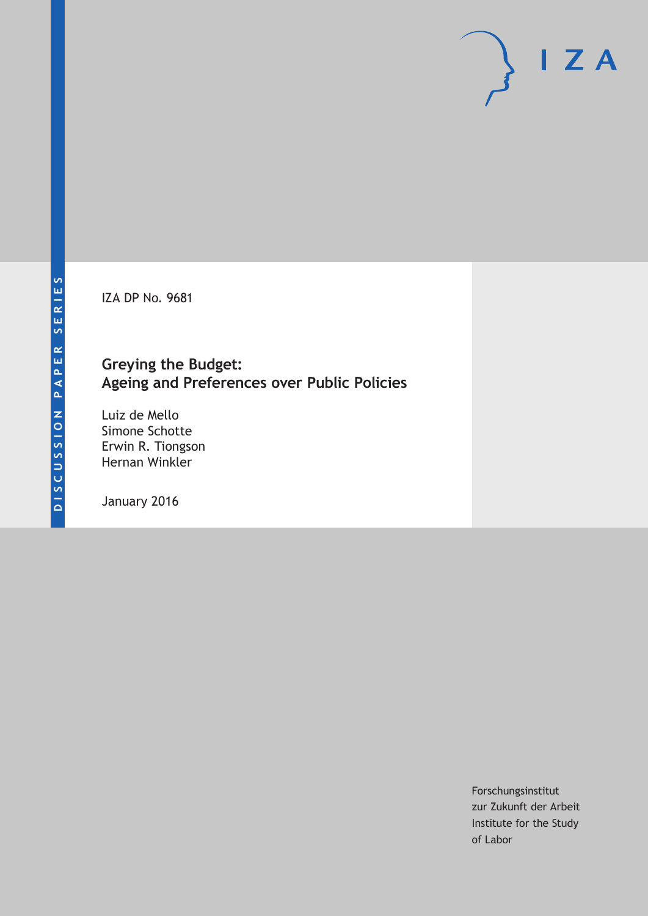IZA DP No. 9681

# **Greying the Budget: Ageing and Preferences over Public Policies**

Luiz de Mello Simone Schotte Erwin R. Tiongson Hernan Winkler

January 2016

Forschungsinstitut zur Zukunft der Arbeit Institute for the Study of Labor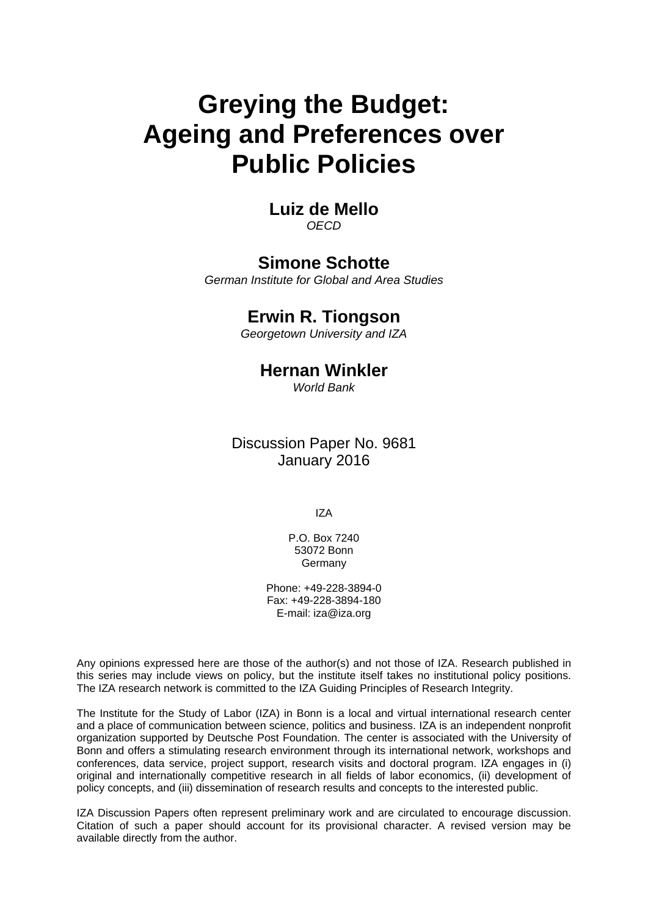# **Greying the Budget: Ageing and Preferences over Public Policies**

# **Luiz de Mello**  *OECD*

# **Simone Schotte**

*German Institute for Global and Area Studies* 

# **Erwin R. Tiongson**

*Georgetown University and IZA*

# **Hernan Winkler**

*World Bank* 

Discussion Paper No. 9681 January 2016

IZA

P.O. Box 7240 53072 Bonn **Germany** 

Phone: +49-228-3894-0 Fax: +49-228-3894-180 E-mail: iza@iza.org

Any opinions expressed here are those of the author(s) and not those of IZA. Research published in this series may include views on policy, but the institute itself takes no institutional policy positions. The IZA research network is committed to the IZA Guiding Principles of Research Integrity.

The Institute for the Study of Labor (IZA) in Bonn is a local and virtual international research center and a place of communication between science, politics and business. IZA is an independent nonprofit organization supported by Deutsche Post Foundation. The center is associated with the University of Bonn and offers a stimulating research environment through its international network, workshops and conferences, data service, project support, research visits and doctoral program. IZA engages in (i) original and internationally competitive research in all fields of labor economics, (ii) development of policy concepts, and (iii) dissemination of research results and concepts to the interested public.

IZA Discussion Papers often represent preliminary work and are circulated to encourage discussion. Citation of such a paper should account for its provisional character. A revised version may be available directly from the author.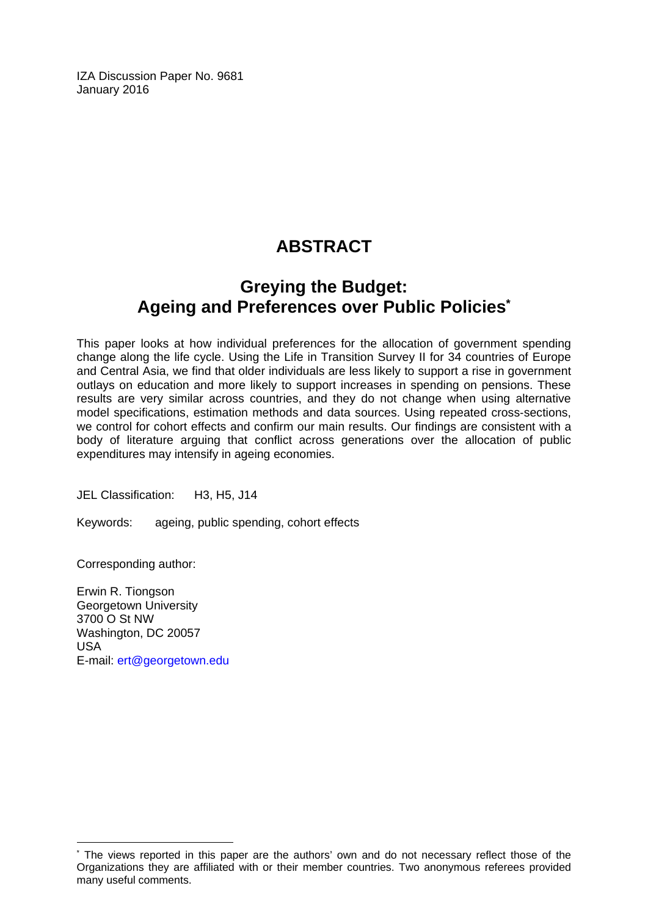IZA Discussion Paper No. 9681 January 2016

# **ABSTRACT**

# **Greying the Budget: Ageing and Preferences over Public Policies\***

This paper looks at how individual preferences for the allocation of government spending change along the life cycle. Using the Life in Transition Survey II for 34 countries of Europe and Central Asia, we find that older individuals are less likely to support a rise in government outlays on education and more likely to support increases in spending on pensions. These results are very similar across countries, and they do not change when using alternative model specifications, estimation methods and data sources. Using repeated cross‐sections, we control for cohort effects and confirm our main results. Our findings are consistent with a body of literature arguing that conflict across generations over the allocation of public expenditures may intensify in ageing economies.

JEL Classification: H3, H5, J14

Keywords: ageing, public spending, cohort effects

Corresponding author:

 $\overline{a}$ 

Erwin R. Tiongson Georgetown University 3700 O St NW Washington, DC 20057 USA E-mail: ert@georgetown.edu

<sup>\*</sup> The views reported in this paper are the authors' own and do not necessary reflect those of the Organizations they are affiliated with or their member countries. Two anonymous referees provided many useful comments.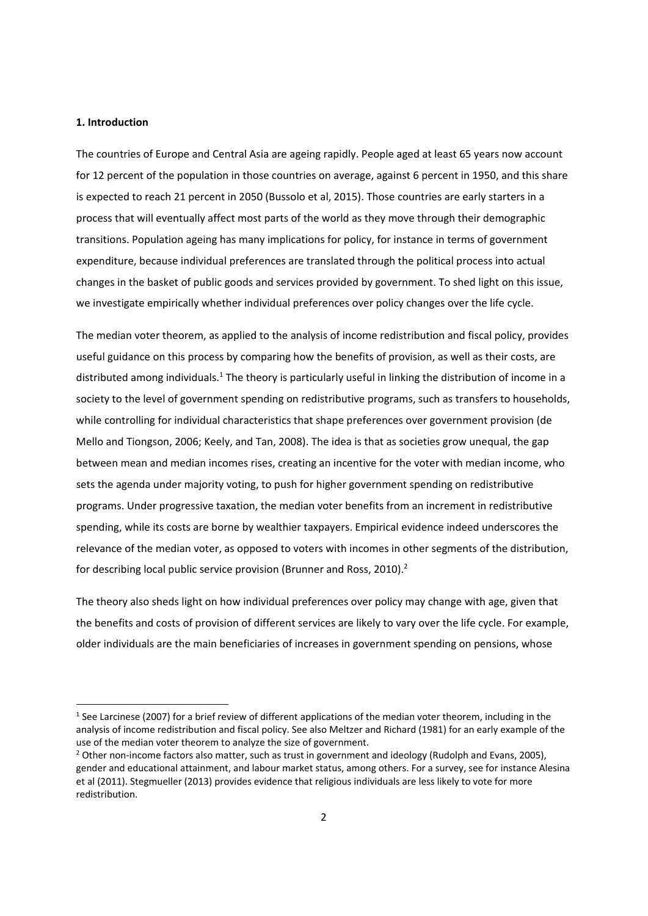#### **1. Introduction**

The countries of Europe and Central Asia are ageing rapidly. People aged at least 65 years now account for 12 percent of the population in those countries on average, against 6 percent in 1950, and this share is expected to reach 21 percent in 2050 (Bussolo et al, 2015). Those countries are early starters in a process that will eventually affect most parts of the world as they move through their demographic transitions. Population ageing has many implications for policy, for instance in terms of government expenditure, because individual preferences are translated through the political process into actual changes in the basket of public goods and services provided by government. To shed light on this issue, we investigate empirically whether individual preferences over policy changes over the life cycle.

The median voter theorem, as applied to the analysis of income redistribution and fiscal policy, provides useful guidance on this process by comparing how the benefits of provision, as well as their costs, are distributed among individuals.<sup>1</sup> The theory is particularly useful in linking the distribution of income in a society to the level of government spending on redistributive programs, such as transfers to households, while controlling for individual characteristics that shape preferences over government provision (de Mello and Tiongson, 2006; Keely, and Tan, 2008). The idea is that as societies grow unequal, the gap between mean and median incomes rises, creating an incentive for the voter with median income, who sets the agenda under majority voting, to push for higher government spending on redistributive programs. Under progressive taxation, the median voter benefits from an increment in redistributive spending, while its costs are borne by wealthier taxpayers. Empirical evidence indeed underscores the relevance of the median voter, as opposed to voters with incomes in other segments of the distribution, for describing local public service provision (Brunner and Ross, 2010).<sup>2</sup>

The theory also sheds light on how individual preferences over policy may change with age, given that the benefits and costs of provision of different services are likely to vary over the life cycle. For example, older individuals are the main beneficiaries of increases in government spending on pensions, whose

 $1$  See Larcinese (2007) for a brief review of different applications of the median voter theorem, including in the analysis of income redistribution and fiscal policy. See also Meltzer and Richard (1981) for an early example of the use of the median voter theorem to analyze the size of government.

<sup>&</sup>lt;sup>2</sup> Other non-income factors also matter, such as trust in government and ideology (Rudolph and Evans, 2005), gender and educational attainment, and labour market status, among others. For a survey, see for instance Alesina et al (2011). Stegmueller (2013) provides evidence that religious individuals are less likely to vote for more redistribution.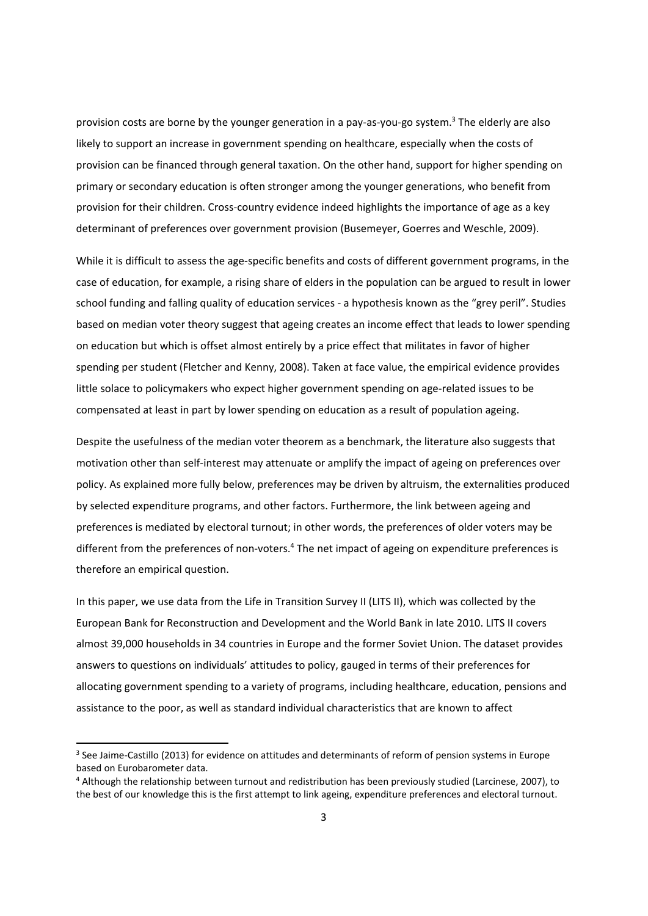provision costs are borne by the younger generation in a pay-as-you-go system.<sup>3</sup> The elderly are also likely to support an increase in government spending on healthcare, especially when the costs of provision can be financed through general taxation. On the other hand, support for higher spending on primary or secondary education is often stronger among the younger generations, who benefit from provision for their children. Cross-country evidence indeed highlights the importance of age as a key determinant of preferences over government provision (Busemeyer, Goerres and Weschle, 2009).

While it is difficult to assess the age-specific benefits and costs of different government programs, in the case of education, for example, a rising share of elders in the population can be argued to result in lower school funding and falling quality of education services ‐ a hypothesis known as the "grey peril". Studies based on median voter theory suggest that ageing creates an income effect that leads to lower spending on education but which is offset almost entirely by a price effect that militates in favor of higher spending per student (Fletcher and Kenny, 2008). Taken at face value, the empirical evidence provides little solace to policymakers who expect higher government spending on age-related issues to be compensated at least in part by lower spending on education as a result of population ageing.

Despite the usefulness of the median voter theorem as a benchmark, the literature also suggests that motivation other than self-interest may attenuate or amplify the impact of ageing on preferences over policy. As explained more fully below, preferences may be driven by altruism, the externalities produced by selected expenditure programs, and other factors. Furthermore, the link between ageing and preferences is mediated by electoral turnout; in other words, the preferences of older voters may be different from the preferences of non-voters.<sup>4</sup> The net impact of ageing on expenditure preferences is therefore an empirical question.

In this paper, we use data from the Life in Transition Survey II (LITS II), which was collected by the European Bank for Reconstruction and Development and the World Bank in late 2010. LITS II covers almost 39,000 households in 34 countries in Europe and the former Soviet Union. The dataset provides answers to questions on individuals' attitudes to policy, gauged in terms of their preferences for allocating government spending to a variety of programs, including healthcare, education, pensions and assistance to the poor, as well as standard individual characteristics that are known to affect

<sup>&</sup>lt;sup>3</sup> See Jaime-Castillo (2013) for evidence on attitudes and determinants of reform of pension systems in Europe based on Eurobarometer data.

<sup>4</sup> Although the relationship between turnout and redistribution has been previously studied (Larcinese, 2007), to the best of our knowledge this is the first attempt to link ageing, expenditure preferences and electoral turnout.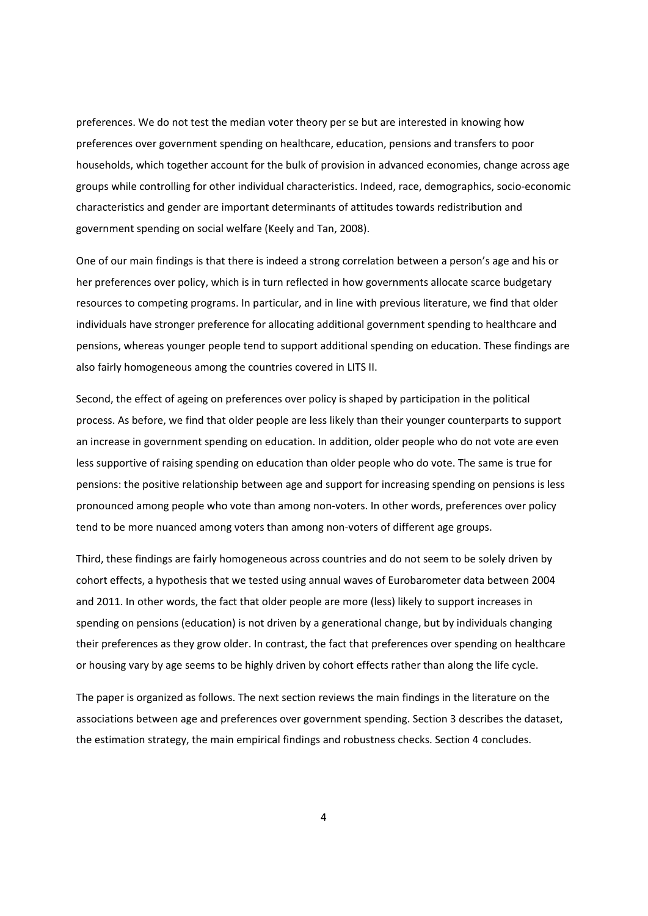preferences. We do not test the median voter theory per se but are interested in knowing how preferences over government spending on healthcare, education, pensions and transfers to poor households, which together account for the bulk of provision in advanced economies, change across age groups while controlling for other individual characteristics. Indeed, race, demographics, socio‐economic characteristics and gender are important determinants of attitudes towards redistribution and government spending on social welfare (Keely and Tan, 2008).

One of our main findings is that there is indeed a strong correlation between a person's age and his or her preferences over policy, which is in turn reflected in how governments allocate scarce budgetary resources to competing programs. In particular, and in line with previous literature, we find that older individuals have stronger preference for allocating additional government spending to healthcare and pensions, whereas younger people tend to support additional spending on education. These findings are also fairly homogeneous among the countries covered in LITS II.

Second, the effect of ageing on preferences over policy is shaped by participation in the political process. As before, we find that older people are less likely than their younger counterparts to support an increase in government spending on education. In addition, older people who do not vote are even less supportive of raising spending on education than older people who do vote. The same is true for pensions: the positive relationship between age and support for increasing spending on pensions is less pronounced among people who vote than among non‐voters. In other words, preferences over policy tend to be more nuanced among voters than among non‐voters of different age groups.

Third, these findings are fairly homogeneous across countries and do not seem to be solely driven by cohort effects, a hypothesis that we tested using annual waves of Eurobarometer data between 2004 and 2011. In other words, the fact that older people are more (less) likely to support increases in spending on pensions (education) is not driven by a generational change, but by individuals changing their preferences as they grow older. In contrast, the fact that preferences over spending on healthcare or housing vary by age seems to be highly driven by cohort effects rather than along the life cycle.

The paper is organized as follows. The next section reviews the main findings in the literature on the associations between age and preferences over government spending. Section 3 describes the dataset, the estimation strategy, the main empirical findings and robustness checks. Section 4 concludes.

4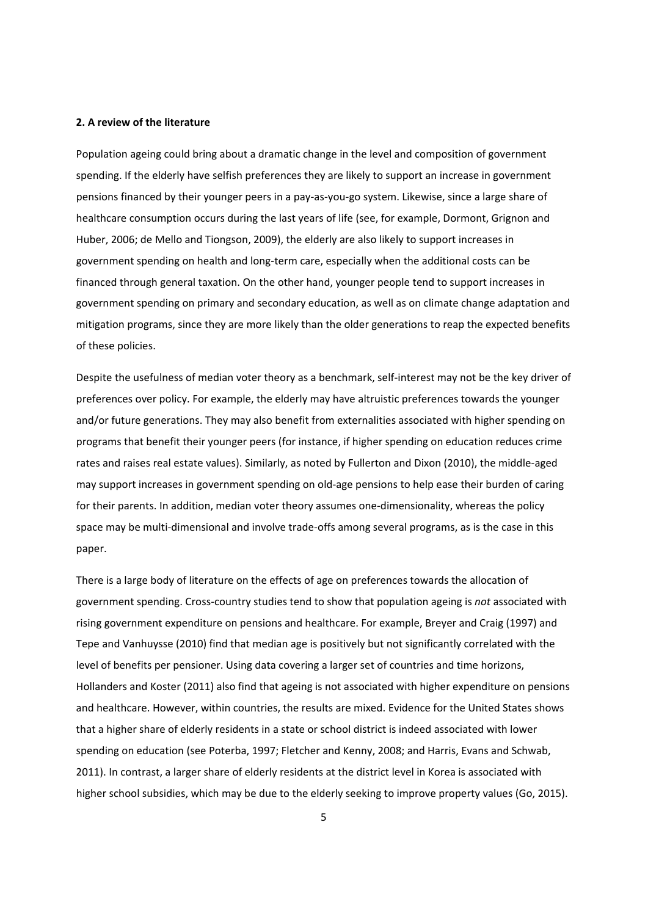#### **2. A review of the literature**

Population ageing could bring about a dramatic change in the level and composition of government spending. If the elderly have selfish preferences they are likely to support an increase in government pensions financed by their younger peers in a pay‐as‐you‐go system. Likewise, since a large share of healthcare consumption occurs during the last years of life (see, for example, Dormont, Grignon and Huber, 2006; de Mello and Tiongson, 2009), the elderly are also likely to support increases in government spending on health and long‐term care, especially when the additional costs can be financed through general taxation. On the other hand, younger people tend to support increases in government spending on primary and secondary education, as well as on climate change adaptation and mitigation programs, since they are more likely than the older generations to reap the expected benefits of these policies.

Despite the usefulness of median voter theory as a benchmark, self-interest may not be the key driver of preferences over policy. For example, the elderly may have altruistic preferences towards the younger and/or future generations. They may also benefit from externalities associated with higher spending on programs that benefit their younger peers (for instance, if higher spending on education reduces crime rates and raises real estate values). Similarly, as noted by Fullerton and Dixon (2010), the middle‐aged may support increases in government spending on old-age pensions to help ease their burden of caring for their parents. In addition, median voter theory assumes one-dimensionality, whereas the policy space may be multi-dimensional and involve trade-offs among several programs, as is the case in this paper.

There is a large body of literature on the effects of age on preferences towards the allocation of government spending. Cross‐country studies tend to show that population ageing is *not* associated with rising government expenditure on pensions and healthcare. For example, Breyer and Craig (1997) and Tepe and Vanhuysse (2010) find that median age is positively but not significantly correlated with the level of benefits per pensioner. Using data covering a larger set of countries and time horizons, Hollanders and Koster (2011) also find that ageing is not associated with higher expenditure on pensions and healthcare. However, within countries, the results are mixed. Evidence for the United States shows that a higher share of elderly residents in a state or school district is indeed associated with lower spending on education (see Poterba, 1997; Fletcher and Kenny, 2008; and Harris, Evans and Schwab, 2011). In contrast, a larger share of elderly residents at the district level in Korea is associated with higher school subsidies, which may be due to the elderly seeking to improve property values (Go, 2015).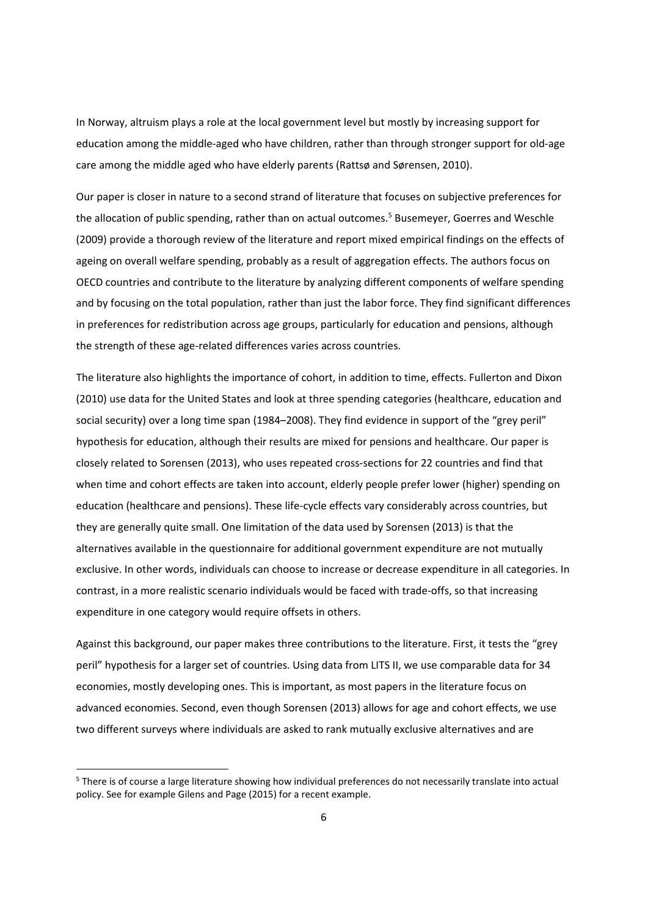In Norway, altruism plays a role at the local government level but mostly by increasing support for education among the middle‐aged who have children, rather than through stronger support for old‐age care among the middle aged who have elderly parents (Rattsø and Sørensen, 2010).

Our paper is closer in nature to a second strand of literature that focuses on subjective preferences for the allocation of public spending, rather than on actual outcomes.<sup>5</sup> Busemeyer, Goerres and Weschle (2009) provide a thorough review of the literature and report mixed empirical findings on the effects of ageing on overall welfare spending, probably as a result of aggregation effects. The authors focus on OECD countries and contribute to the literature by analyzing different components of welfare spending and by focusing on the total population, rather than just the labor force. They find significant differences in preferences for redistribution across age groups, particularly for education and pensions, although the strength of these age‐related differences varies across countries.

The literature also highlights the importance of cohort, in addition to time, effects. Fullerton and Dixon (2010) use data for the United States and look at three spending categories (healthcare, education and social security) over a long time span (1984–2008). They find evidence in support of the "grey peril" hypothesis for education, although their results are mixed for pensions and healthcare. Our paper is closely related to Sorensen (2013), who uses repeated cross‐sections for 22 countries and find that when time and cohort effects are taken into account, elderly people prefer lower (higher) spending on education (healthcare and pensions). These life‐cycle effects vary considerably across countries, but they are generally quite small. One limitation of the data used by Sorensen (2013) is that the alternatives available in the questionnaire for additional government expenditure are not mutually exclusive. In other words, individuals can choose to increase or decrease expenditure in all categories. In contrast, in a more realistic scenario individuals would be faced with trade‐offs, so that increasing expenditure in one category would require offsets in others.

Against this background, our paper makes three contributions to the literature. First, it tests the "grey peril" hypothesis for a larger set of countries. Using data from LITS II, we use comparable data for 34 economies, mostly developing ones. This is important, as most papers in the literature focus on advanced economies. Second, even though Sorensen (2013) allows for age and cohort effects, we use two different surveys where individuals are asked to rank mutually exclusive alternatives and are

<sup>5</sup> There is of course a large literature showing how individual preferences do not necessarily translate into actual policy. See for example Gilens and Page (2015) for a recent example.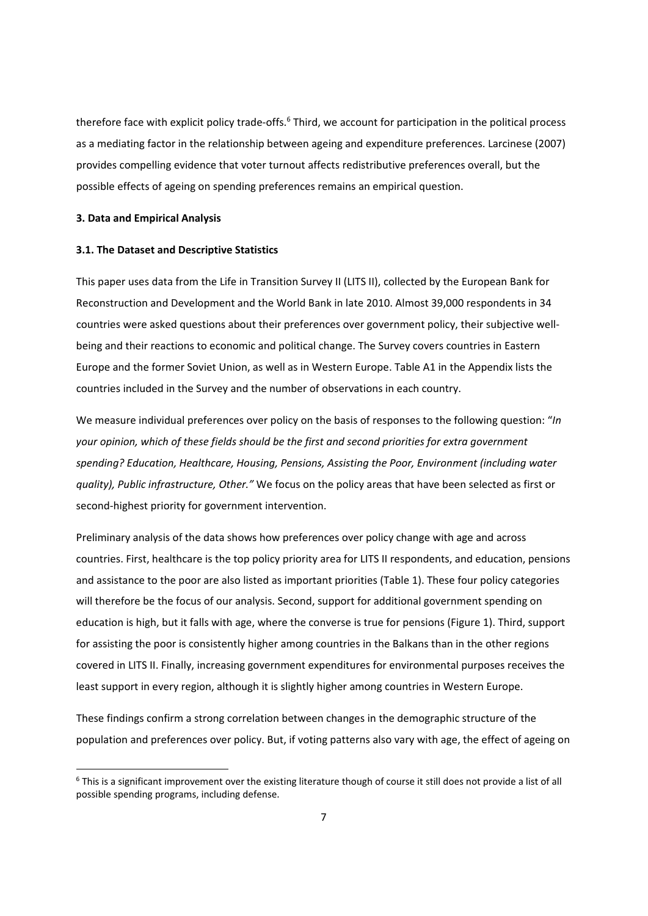therefore face with explicit policy trade-offs.<sup>6</sup> Third, we account for participation in the political process as a mediating factor in the relationship between ageing and expenditure preferences. Larcinese (2007) provides compelling evidence that voter turnout affects redistributive preferences overall, but the possible effects of ageing on spending preferences remains an empirical question.

#### **3. Data and Empirical Analysis**

#### **3.1. The Dataset and Descriptive Statistics**

This paper uses data from the Life in Transition Survey II (LITS II), collected by the European Bank for Reconstruction and Development and the World Bank in late 2010. Almost 39,000 respondents in 34 countries were asked questions about their preferences over government policy, their subjective wellbeing and their reactions to economic and political change. The Survey covers countries in Eastern Europe and the former Soviet Union, as well as in Western Europe. Table A1 in the Appendix lists the countries included in the Survey and the number of observations in each country.

We measure individual preferences over policy on the basis of responses to the following question: "*In your opinion, which of these fields should be the first and second priorities for extra government spending? Education, Healthcare, Housing, Pensions, Assisting the Poor, Environment (including water quality), Public infrastructure, Other."* We focus on the policy areas that have been selected as first or second-highest priority for government intervention.

Preliminary analysis of the data shows how preferences over policy change with age and across countries. First, healthcare is the top policy priority area for LITS II respondents, and education, pensions and assistance to the poor are also listed as important priorities (Table 1). These four policy categories will therefore be the focus of our analysis. Second, support for additional government spending on education is high, but it falls with age, where the converse is true for pensions (Figure 1). Third, support for assisting the poor is consistently higher among countries in the Balkans than in the other regions covered in LITS II. Finally, increasing government expenditures for environmental purposes receives the least support in every region, although it is slightly higher among countries in Western Europe.

These findings confirm a strong correlation between changes in the demographic structure of the population and preferences over policy. But, if voting patterns also vary with age, the effect of ageing on

 $6$  This is a significant improvement over the existing literature though of course it still does not provide a list of all possible spending programs, including defense.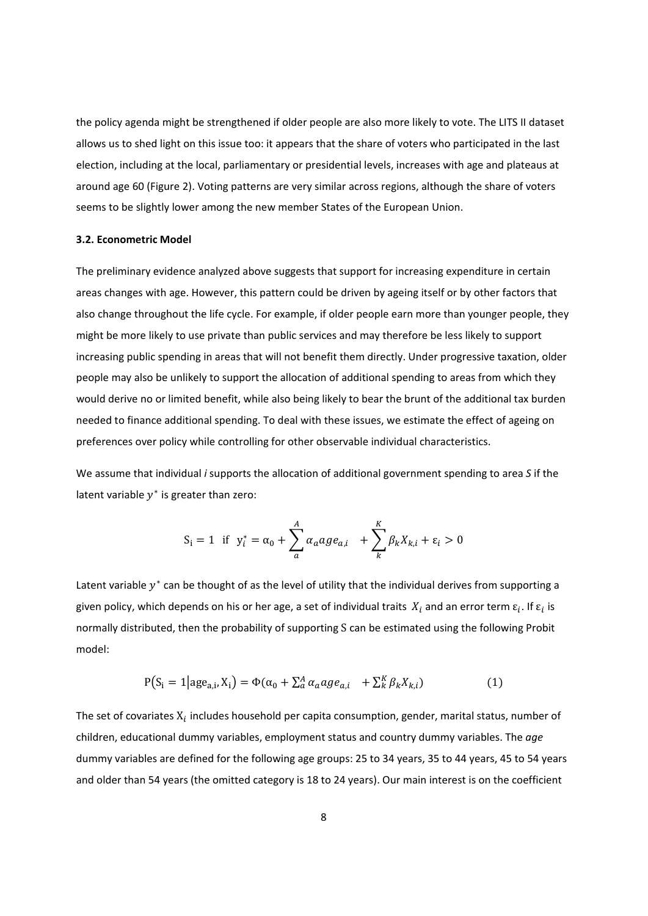the policy agenda might be strengthened if older people are also more likely to vote. The LITS II dataset allows us to shed light on this issue too: it appears that the share of voters who participated in the last election, including at the local, parliamentary or presidential levels, increases with age and plateaus at around age 60 (Figure 2). Voting patterns are very similar across regions, although the share of voters seems to be slightly lower among the new member States of the European Union.

#### **3.2. Econometric Model**

The preliminary evidence analyzed above suggests that support for increasing expenditure in certain areas changes with age. However, this pattern could be driven by ageing itself or by other factors that also change throughout the life cycle. For example, if older people earn more than younger people, they might be more likely to use private than public services and may therefore be less likely to support increasing public spending in areas that will not benefit them directly. Under progressive taxation, older people may also be unlikely to support the allocation of additional spending to areas from which they would derive no or limited benefit, while also being likely to bear the brunt of the additional tax burden needed to finance additional spending. To deal with these issues, we estimate the effect of ageing on preferences over policy while controlling for other observable individual characteristics.

We assume that individual *i* supports the allocation of additional government spending to area *S* if the latent variable  $v^*$  is greater than zero:

$$
S_i = 1
$$
 if  $y_i^* = \alpha_0 + \sum_{a}^{A} \alpha_a a g e_{a,i} + \sum_{k}^{K} \beta_k X_{k,i} + \varepsilon_i > 0$ 

Latent variable  $y^*$  can be thought of as the level of utility that the individual derives from supporting a given policy, which depends on his or her age, a set of individual traits  $X_i$  and an error term  $\varepsilon_i$ . If  $\varepsilon_i$  is normally distributed, then the probability of supporting S can be estimated using the following Probit model:

$$
P(S_i = 1 | age_{a,i}, X_i) = \Phi(\alpha_0 + \sum_a^A \alpha_a a g e_{a,i} + \sum_k^K \beta_k X_{k,i})
$$
(1)

The set of covariates  $X_i$  includes household per capita consumption, gender, marital status, number of children, educational dummy variables, employment status and country dummy variables. The *age* dummy variables are defined for the following age groups: 25 to 34 years, 35 to 44 years, 45 to 54 years and older than 54 years (the omitted category is 18 to 24 years). Our main interest is on the coefficient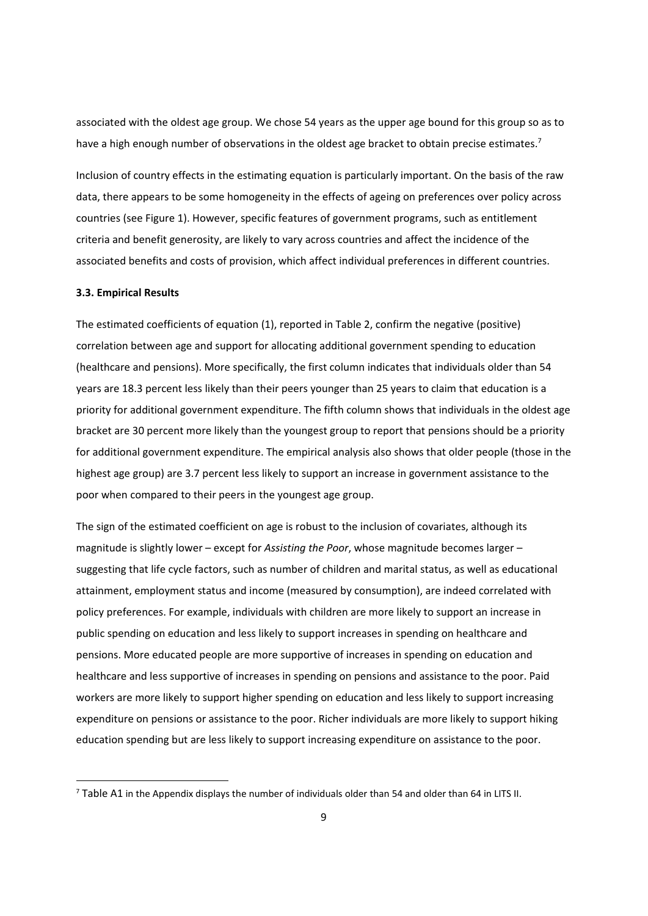associated with the oldest age group. We chose 54 years as the upper age bound for this group so as to have a high enough number of observations in the oldest age bracket to obtain precise estimates.<sup>7</sup>

Inclusion of country effects in the estimating equation is particularly important. On the basis of the raw data, there appears to be some homogeneity in the effects of ageing on preferences over policy across countries (see Figure 1). However, specific features of government programs, such as entitlement criteria and benefit generosity, are likely to vary across countries and affect the incidence of the associated benefits and costs of provision, which affect individual preferences in different countries.

#### **3.3. Empirical Results**

The estimated coefficients of equation (1), reported in Table 2, confirm the negative (positive) correlation between age and support for allocating additional government spending to education (healthcare and pensions). More specifically, the first column indicates that individuals older than 54 years are 18.3 percent less likely than their peers younger than 25 years to claim that education is a priority for additional government expenditure. The fifth column shows that individuals in the oldest age bracket are 30 percent more likely than the youngest group to report that pensions should be a priority for additional government expenditure. The empirical analysis also shows that older people (those in the highest age group) are 3.7 percent less likely to support an increase in government assistance to the poor when compared to their peers in the youngest age group.

The sign of the estimated coefficient on age is robust to the inclusion of covariates, although its magnitude is slightly lower – except for *Assisting the Poor*, whose magnitude becomes larger – suggesting that life cycle factors, such as number of children and marital status, as well as educational attainment, employment status and income (measured by consumption), are indeed correlated with policy preferences. For example, individuals with children are more likely to support an increase in public spending on education and less likely to support increases in spending on healthcare and pensions. More educated people are more supportive of increases in spending on education and healthcare and less supportive of increases in spending on pensions and assistance to the poor. Paid workers are more likely to support higher spending on education and less likely to support increasing expenditure on pensions or assistance to the poor. Richer individuals are more likely to support hiking education spending but are less likely to support increasing expenditure on assistance to the poor.

<sup>7</sup> Table A1 in the Appendix displays the number of individuals older than 54 and older than 64 in LITS II.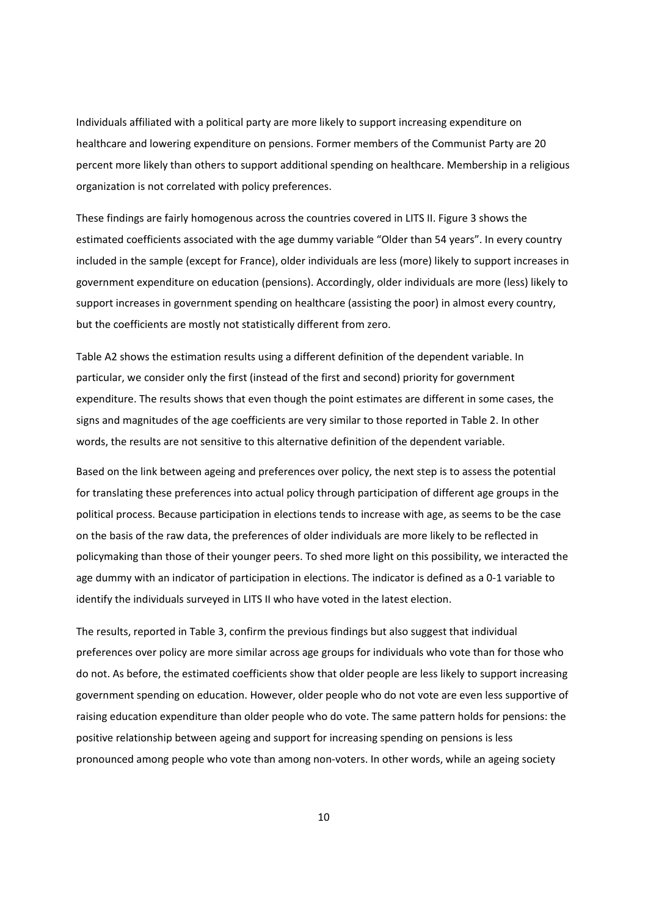Individuals affiliated with a political party are more likely to support increasing expenditure on healthcare and lowering expenditure on pensions. Former members of the Communist Party are 20 percent more likely than others to support additional spending on healthcare. Membership in a religious organization is not correlated with policy preferences.

These findings are fairly homogenous across the countries covered in LITS II. Figure 3 shows the estimated coefficients associated with the age dummy variable "Older than 54 years". In every country included in the sample (except for France), older individuals are less (more) likely to support increases in government expenditure on education (pensions). Accordingly, older individuals are more (less) likely to support increases in government spending on healthcare (assisting the poor) in almost every country, but the coefficients are mostly not statistically different from zero.

Table A2 shows the estimation results using a different definition of the dependent variable. In particular, we consider only the first (instead of the first and second) priority for government expenditure. The results shows that even though the point estimates are different in some cases, the signs and magnitudes of the age coefficients are very similar to those reported in Table 2. In other words, the results are not sensitive to this alternative definition of the dependent variable.

Based on the link between ageing and preferences over policy, the next step is to assess the potential for translating these preferences into actual policy through participation of different age groups in the political process. Because participation in elections tends to increase with age, as seems to be the case on the basis of the raw data, the preferences of older individuals are more likely to be reflected in policymaking than those of their younger peers. To shed more light on this possibility, we interacted the age dummy with an indicator of participation in elections. The indicator is defined as a 0‐1 variable to identify the individuals surveyed in LITS II who have voted in the latest election.

The results, reported in Table 3, confirm the previous findings but also suggest that individual preferences over policy are more similar across age groups for individuals who vote than for those who do not. As before, the estimated coefficients show that older people are less likely to support increasing government spending on education. However, older people who do not vote are even less supportive of raising education expenditure than older people who do vote. The same pattern holds for pensions: the positive relationship between ageing and support for increasing spending on pensions is less pronounced among people who vote than among non‐voters. In other words, while an ageing society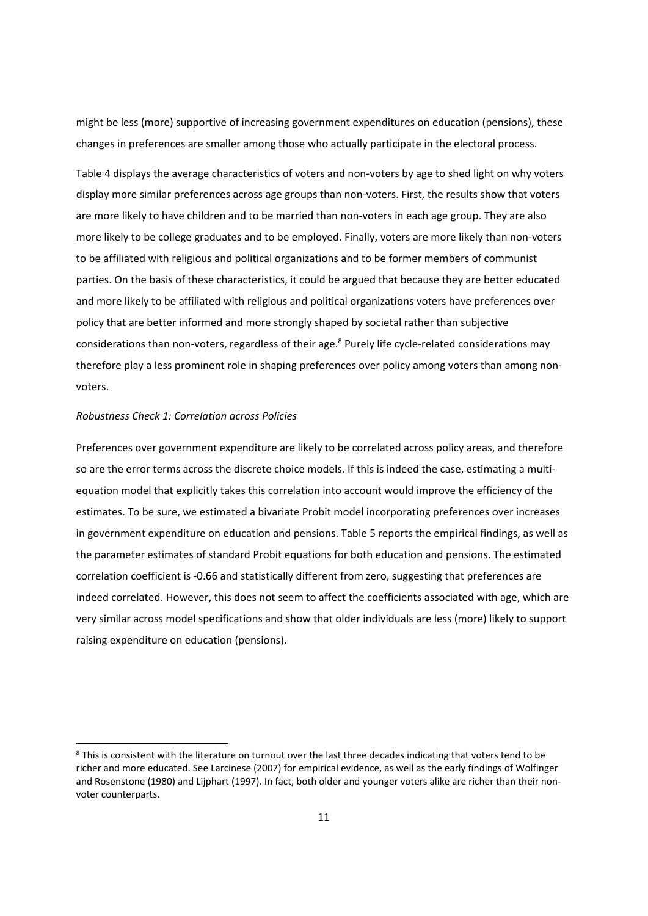might be less (more) supportive of increasing government expenditures on education (pensions), these changes in preferences are smaller among those who actually participate in the electoral process.

Table 4 displays the average characteristics of voters and non-voters by age to shed light on why voters display more similar preferences across age groups than non‐voters. First, the results show that voters are more likely to have children and to be married than non-voters in each age group. They are also more likely to be college graduates and to be employed. Finally, voters are more likely than non‐voters to be affiliated with religious and political organizations and to be former members of communist parties. On the basis of these characteristics, it could be argued that because they are better educated and more likely to be affiliated with religious and political organizations voters have preferences over policy that are better informed and more strongly shaped by societal rather than subjective considerations than non-voters, regardless of their age.<sup>8</sup> Purely life cycle-related considerations may therefore play a less prominent role in shaping preferences over policy among voters than among nonvoters.

#### *Robustness Check 1: Correlation across Policies*

Preferences over government expenditure are likely to be correlated across policy areas, and therefore so are the error terms across the discrete choice models. If this is indeed the case, estimating a multiequation model that explicitly takes this correlation into account would improve the efficiency of the estimates. To be sure, we estimated a bivariate Probit model incorporating preferences over increases in government expenditure on education and pensions. Table 5 reports the empirical findings, as well as the parameter estimates of standard Probit equations for both education and pensions. The estimated correlation coefficient is ‐0.66 and statistically different from zero, suggesting that preferences are indeed correlated. However, this does not seem to affect the coefficients associated with age, which are very similar across model specifications and show that older individuals are less (more) likely to support raising expenditure on education (pensions).

<sup>&</sup>lt;sup>8</sup> This is consistent with the literature on turnout over the last three decades indicating that voters tend to be richer and more educated. See Larcinese (2007) for empirical evidence, as well as the early findings of Wolfinger and Rosenstone (1980) and Lijphart (1997). In fact, both older and younger voters alike are richer than their non‐ voter counterparts.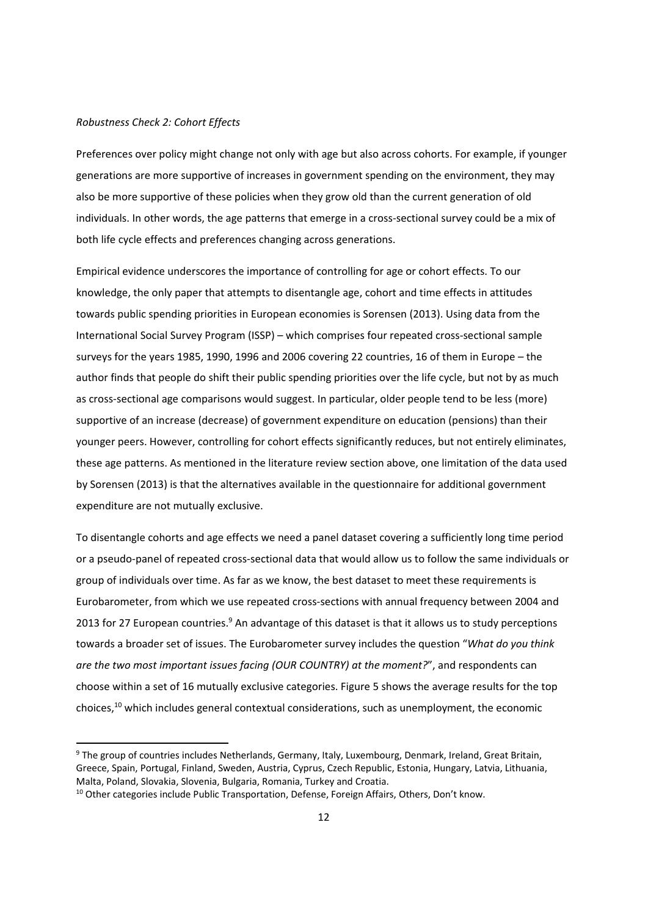#### *Robustness Check 2: Cohort Effects*

Preferences over policy might change not only with age but also across cohorts. For example, if younger generations are more supportive of increases in government spending on the environment, they may also be more supportive of these policies when they grow old than the current generation of old individuals. In other words, the age patterns that emerge in a cross-sectional survey could be a mix of both life cycle effects and preferences changing across generations.

Empirical evidence underscores the importance of controlling for age or cohort effects. To our knowledge, the only paper that attempts to disentangle age, cohort and time effects in attitudes towards public spending priorities in European economies is Sorensen (2013). Using data from the International Social Survey Program (ISSP) – which comprises four repeated cross‐sectional sample surveys for the years 1985, 1990, 1996 and 2006 covering 22 countries, 16 of them in Europe – the author finds that people do shift their public spending priorities over the life cycle, but not by as much as cross‐sectional age comparisons would suggest. In particular, older people tend to be less (more) supportive of an increase (decrease) of government expenditure on education (pensions) than their younger peers. However, controlling for cohort effects significantly reduces, but not entirely eliminates, these age patterns. As mentioned in the literature review section above, one limitation of the data used by Sorensen (2013) is that the alternatives available in the questionnaire for additional government expenditure are not mutually exclusive.

To disentangle cohorts and age effects we need a panel dataset covering a sufficiently long time period or a pseudo‐panel of repeated cross‐sectional data that would allow us to follow the same individuals or group of individuals over time. As far as we know, the best dataset to meet these requirements is Eurobarometer, from which we use repeated cross‐sections with annual frequency between 2004 and 2013 for 27 European countries.<sup>9</sup> An advantage of this dataset is that it allows us to study perceptions towards a broader set of issues. The Eurobarometer survey includes the question "*What do you think are the two most important issues facing (OUR COUNTRY) at the moment?*", and respondents can choose within a set of 16 mutually exclusive categories. Figure 5 shows the average results for the top choices,10 which includes general contextual considerations, such as unemployment, the economic

<sup>&</sup>lt;sup>9</sup> The group of countries includes Netherlands, Germany, Italy, Luxembourg, Denmark, Ireland, Great Britain, Greece, Spain, Portugal, Finland, Sweden, Austria, Cyprus, Czech Republic, Estonia, Hungary, Latvia, Lithuania, Malta, Poland, Slovakia, Slovenia, Bulgaria, Romania, Turkey and Croatia.

<sup>&</sup>lt;sup>10</sup> Other categories include Public Transportation, Defense, Foreign Affairs, Others, Don't know.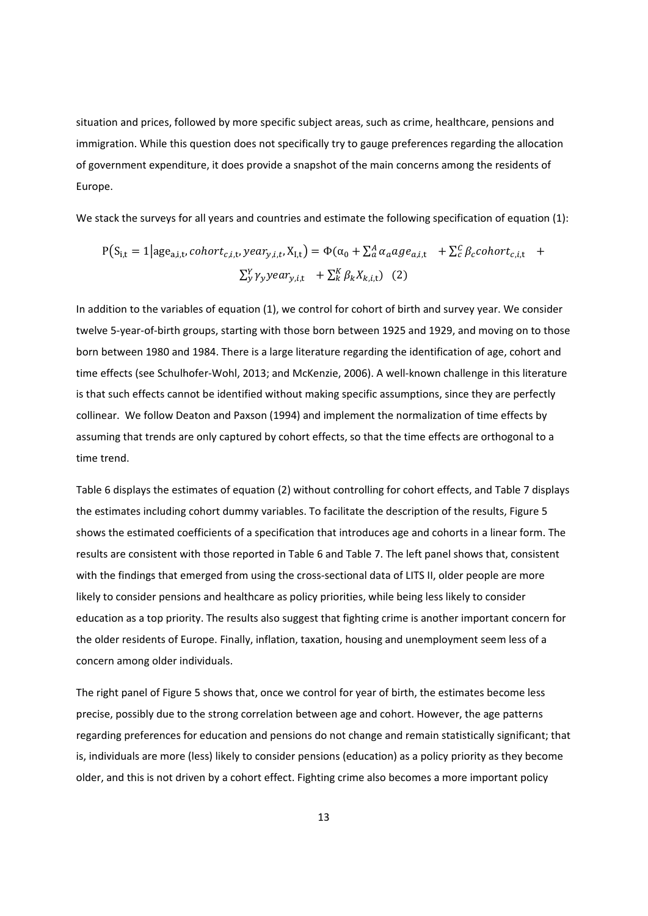situation and prices, followed by more specific subject areas, such as crime, healthcare, pensions and immigration. While this question does not specifically try to gauge preferences regarding the allocation of government expenditure, it does provide a snapshot of the main concerns among the residents of Europe.

We stack the surveys for all years and countries and estimate the following specification of equation (1):

$$
P(S_{i,t} = 1 | age_{a,i,t}, cohort_{c,i,t}, year_{y,i,t}, X_{I,t}) = \Phi(\alpha_0 + \sum_a^A \alpha_a age_{a,i,t} + \sum_c^C \beta_c cohort_{c,i,t} + \sum_a^V \gamma_y year_{y,i,t} + \sum_k^K \beta_k X_{k,i,t})
$$
 (2)

In addition to the variables of equation (1), we control for cohort of birth and survey year. We consider twelve 5‐year‐of‐birth groups, starting with those born between 1925 and 1929, and moving on to those born between 1980 and 1984. There is a large literature regarding the identification of age, cohort and time effects (see Schulhofer-Wohl, 2013; and McKenzie, 2006). A well-known challenge in this literature is that such effects cannot be identified without making specific assumptions, since they are perfectly collinear. We follow Deaton and Paxson (1994) and implement the normalization of time effects by assuming that trends are only captured by cohort effects, so that the time effects are orthogonal to a time trend.

Table 6 displays the estimates of equation (2) without controlling for cohort effects, and Table 7 displays the estimates including cohort dummy variables. To facilitate the description of the results, Figure 5 shows the estimated coefficients of a specification that introduces age and cohorts in a linear form. The results are consistent with those reported in Table 6 and Table 7. The left panel shows that, consistent with the findings that emerged from using the cross-sectional data of LITS II, older people are more likely to consider pensions and healthcare as policy priorities, while being less likely to consider education as a top priority. The results also suggest that fighting crime is another important concern for the older residents of Europe. Finally, inflation, taxation, housing and unemployment seem less of a concern among older individuals.

The right panel of Figure 5 shows that, once we control for year of birth, the estimates become less precise, possibly due to the strong correlation between age and cohort. However, the age patterns regarding preferences for education and pensions do not change and remain statistically significant; that is, individuals are more (less) likely to consider pensions (education) as a policy priority as they become older, and this is not driven by a cohort effect. Fighting crime also becomes a more important policy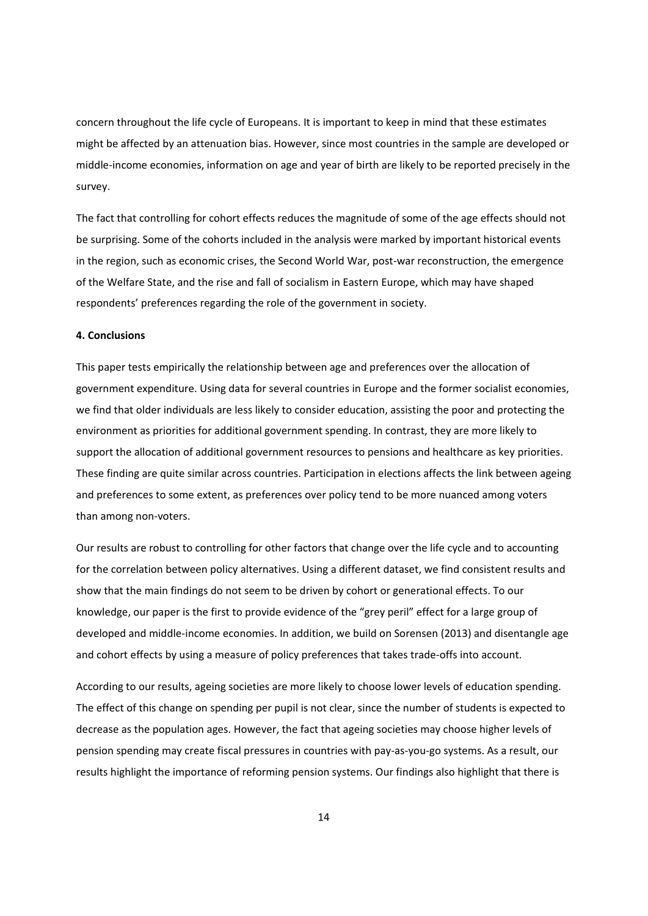concern throughout the life cycle of Europeans. It is important to keep in mind that these estimates might be affected by an attenuation bias. However, since most countries in the sample are developed or middle‐income economies, information on age and year of birth are likely to be reported precisely in the survey.

The fact that controlling for cohort effects reduces the magnitude of some of the age effects should not be surprising. Some of the cohorts included in the analysis were marked by important historical events in the region, such as economic crises, the Second World War, post-war reconstruction, the emergence of the Welfare State, and the rise and fall of socialism in Eastern Europe, which may have shaped respondents' preferences regarding the role of the government in society.

#### **4. Conclusions**

This paper tests empirically the relationship between age and preferences over the allocation of government expenditure. Using data for several countries in Europe and the former socialist economies, we find that older individuals are less likely to consider education, assisting the poor and protecting the environment as priorities for additional government spending. In contrast, they are more likely to support the allocation of additional government resources to pensions and healthcare as key priorities. These finding are quite similar across countries. Participation in elections affects the link between ageing and preferences to some extent, as preferences over policy tend to be more nuanced among voters than among non‐voters.

Our results are robust to controlling for other factors that change over the life cycle and to accounting for the correlation between policy alternatives. Using a different dataset, we find consistent results and show that the main findings do not seem to be driven by cohort or generational effects. To our knowledge, our paper is the first to provide evidence of the "grey peril" effect for a large group of developed and middle‐income economies. In addition, we build on Sorensen (2013) and disentangle age and cohort effects by using a measure of policy preferences that takes trade-offs into account.

According to our results, ageing societies are more likely to choose lower levels of education spending. The effect of this change on spending per pupil is not clear, since the number of students is expected to decrease as the population ages. However, the fact that ageing societies may choose higher levels of pension spending may create fiscal pressures in countries with pay‐as‐you‐go systems. As a result, our results highlight the importance of reforming pension systems. Our findings also highlight that there is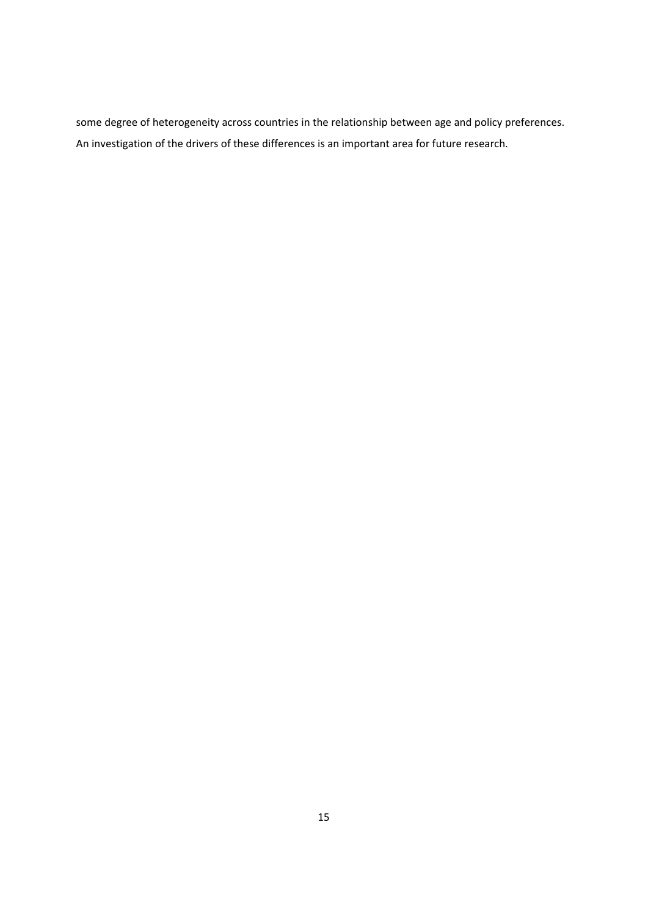some degree of heterogeneity across countries in the relationship between age and policy preferences. An investigation of the drivers of these differences is an important area for future research.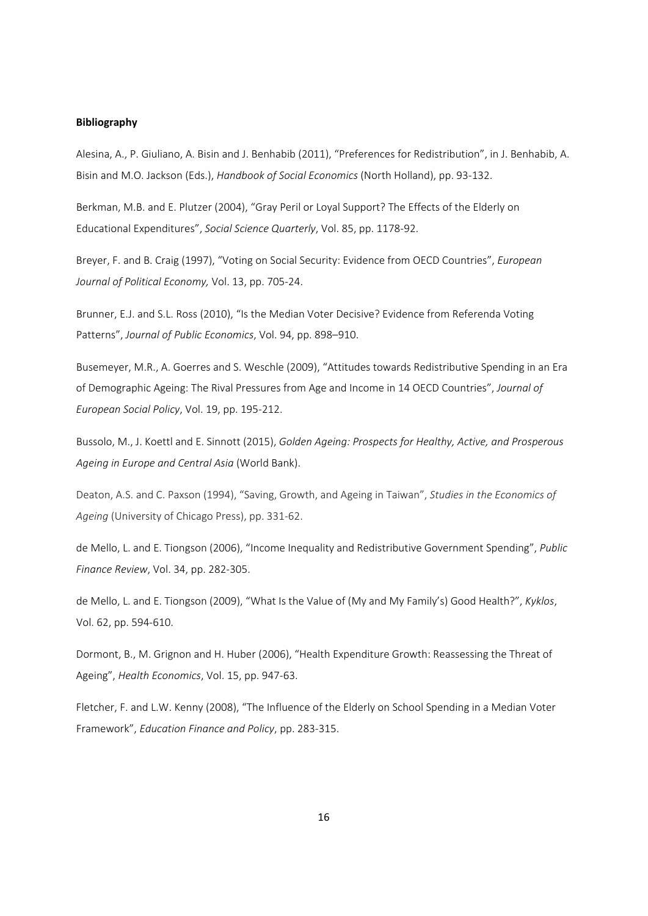#### **Bibliography**

Alesina, A., P. Giuliano, A. Bisin and J. Benhabib (2011), "Preferences for Redistribution", in J. Benhabib, A. Bisin and M.O. Jackson (Eds.), *Handbook of Social Economics* (North Holland), pp. 93‐132.

Berkman, M.B. and E. Plutzer (2004), "Gray Peril or Loyal Support? The Effects of the Elderly on Educational Expenditures", *Social Science Quarterly*, Vol. 85, pp. 1178‐92.

Breyer, F. and B. Craig (1997), "Voting on Social Security: Evidence from OECD Countries", *European Journal of Political Economy,* Vol. 13, pp. 705‐24.

Brunner, E.J. and S.L. Ross (2010), "Is the Median Voter Decisive? Evidence from Referenda Voting Patterns", *Journal of Public Economics*, Vol. 94, pp. 898–910.

Busemeyer, M.R., A. Goerres and S. Weschle (2009), "Attitudes towards Redistributive Spending in an Era of Demographic Ageing: The Rival Pressures from Age and Income in 14 OECD Countries", *Journal of European Social Policy*, Vol. 19, pp. 195‐212.

Bussolo, M., J. Koettl and E. Sinnott (2015), *Golden Ageing: Prospects for Healthy, Active, and Prosperous Ageing in Europe and Central Asia* (World Bank).

Deaton, A.S. and C. Paxson (1994), "Saving, Growth, and Ageing in Taiwan", *Studies in the Economics of Ageing* (University of Chicago Press), pp. 331‐62.

de Mello, L. and E. Tiongson (2006), "Income Inequality and Redistributive Government Spending", *Public Finance Review*, Vol. 34, pp. 282‐305.

de Mello, L. and E. Tiongson (2009), "What Is the Value of (My and My Family's) Good Health?", *Kyklos*, Vol. 62, pp. 594‐610.

Dormont, B., M. Grignon and H. Huber (2006), "Health Expenditure Growth: Reassessing the Threat of Ageing", *Health Economics*, Vol. 15, pp. 947‐63.

Fletcher, F. and L.W. Kenny (2008), "The Influence of the Elderly on School Spending in a Median Voter Framework", *Education Finance and Policy*, pp. 283‐315.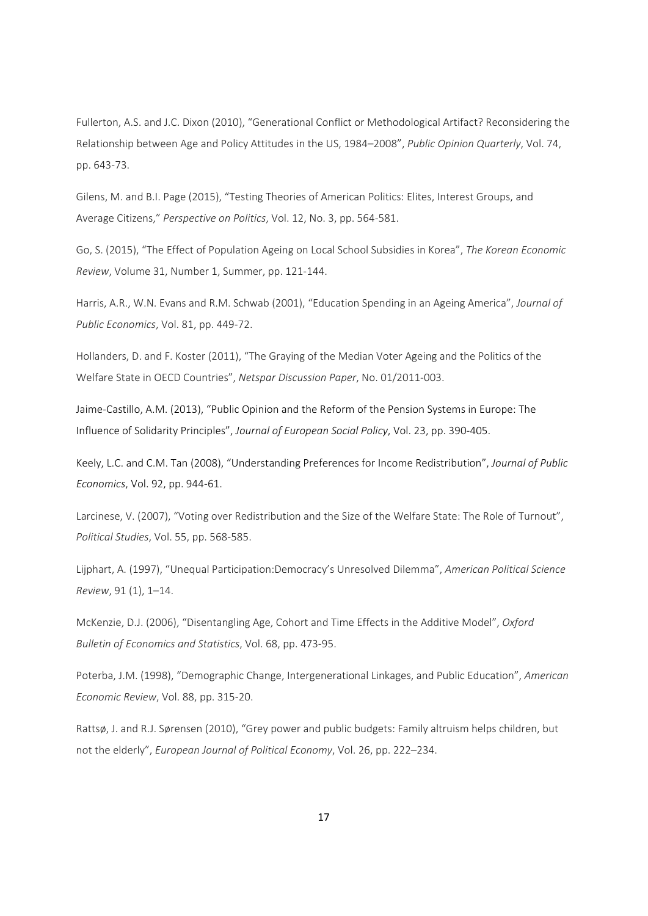Fullerton, A.S. and J.C. Dixon (2010), "Generational Conflict or Methodological Artifact? Reconsidering the Relationship between Age and Policy Attitudes in the US, 1984–2008", *Public Opinion Quarterly*, Vol. 74, pp. 643‐73.

Gilens, M. and B.I. Page (2015), "Testing Theories of American Politics: Elites, Interest Groups, and Average Citizens," *Perspective on Politics*, Vol. 12, No. 3, pp. 564‐581.

Go, S. (2015), "The Effect of Population Ageing on Local School Subsidies in Korea", *The Korean Economic Review*, Volume 31, Number 1, Summer, pp. 121‐144.

Harris, A.R., W.N. Evans and R.M. Schwab (2001), "Education Spending in an Ageing America", *Journal of Public Economics*, Vol. 81, pp. 449‐72.

Hollanders, D. and F. Koster (2011), "The Graying of the Median Voter Ageing and the Politics of the Welfare State in OECD Countries", *Netspar Discussion Paper*, No. 01/2011‐003.

Jaime‐Castillo, A.M. (2013), "Public Opinion and the Reform of the Pension Systems in Europe: The Influence of Solidarity Principles", *Journal of European Social Policy*, Vol. 23, pp. 390‐405.

Keely, L.C. and C.M. Tan (2008), "Understanding Preferences for Income Redistribution", *Journal of Public Economics*, Vol. 92, pp. 944‐61.

Larcinese, V. (2007), "Voting over Redistribution and the Size of the Welfare State: The Role of Turnout", *Political Studies*, Vol. 55, pp. 568‐585.

Lijphart, A. (1997), "Unequal Participation:Democracy's Unresolved Dilemma", *American Political Science Review*, 91 (1), 1–14.

McKenzie, D.J. (2006), "Disentangling Age, Cohort and Time Effects in the Additive Model", *Oxford Bulletin of Economics and Statistics*, Vol. 68, pp. 473‐95.

Poterba, J.M. (1998), "Demographic Change, Intergenerational Linkages, and Public Education", *American Economic Review*, Vol. 88, pp. 315‐20.

Rattsø, J. and R.J. Sørensen (2010), "Grey power and public budgets: Family altruism helps children, but not the elderly", *European Journal of Political Economy*, Vol. 26, pp. 222–234.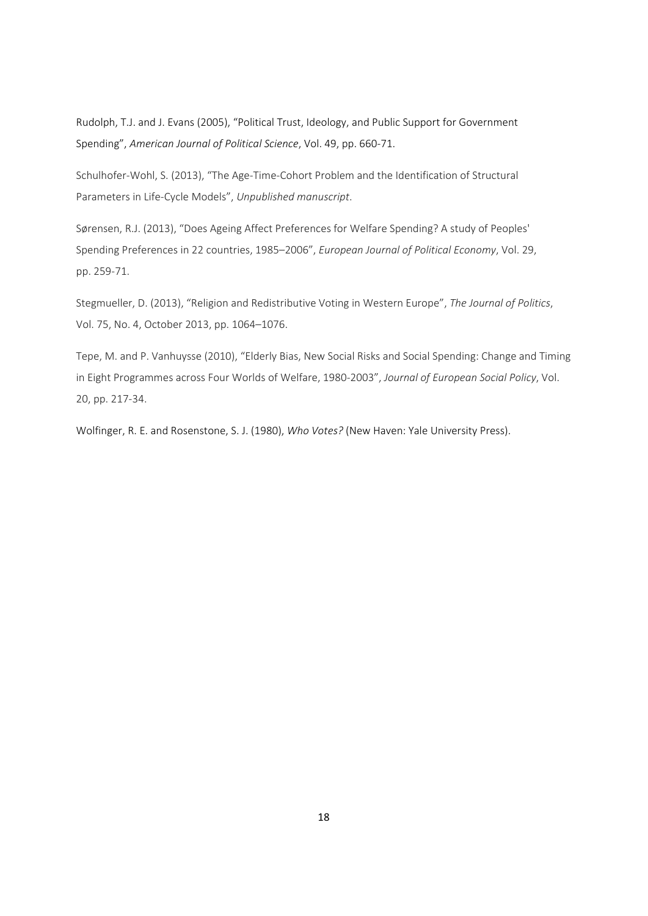Rudolph, T.J. and J. Evans (2005), "Political Trust, Ideology, and Public Support for Government Spending", *American Journal of Political Science*, Vol. 49, pp. 660‐71.

Schulhofer‐Wohl, S. (2013), "The Age‐Time‐Cohort Problem and the Identification of Structural Parameters in Life‐Cycle Models", *Unpublished manuscript*.

Sørensen, R.J. (2013), "Does Ageing Affect Preferences for Welfare Spending? A study of Peoples' Spending Preferences in 22 countries, 1985–2006", *European Journal of Political Economy*, Vol. 29, pp. 259‐71.

Stegmueller, D. (2013), "Religion and Redistributive Voting in Western Europe", *The Journal of Politics*, Vol. 75, No. 4, October 2013, pp. 1064–1076.

Tepe, M. and P. Vanhuysse (2010), "Elderly Bias, New Social Risks and Social Spending: Change and Timing in Eight Programmes across Four Worlds of Welfare, 1980‐2003", *Journal of European Social Policy*, Vol. 20, pp. 217‐34.

Wolfinger, R. E. and Rosenstone, S. J. (1980), *Who Votes?* (New Haven: Yale University Press).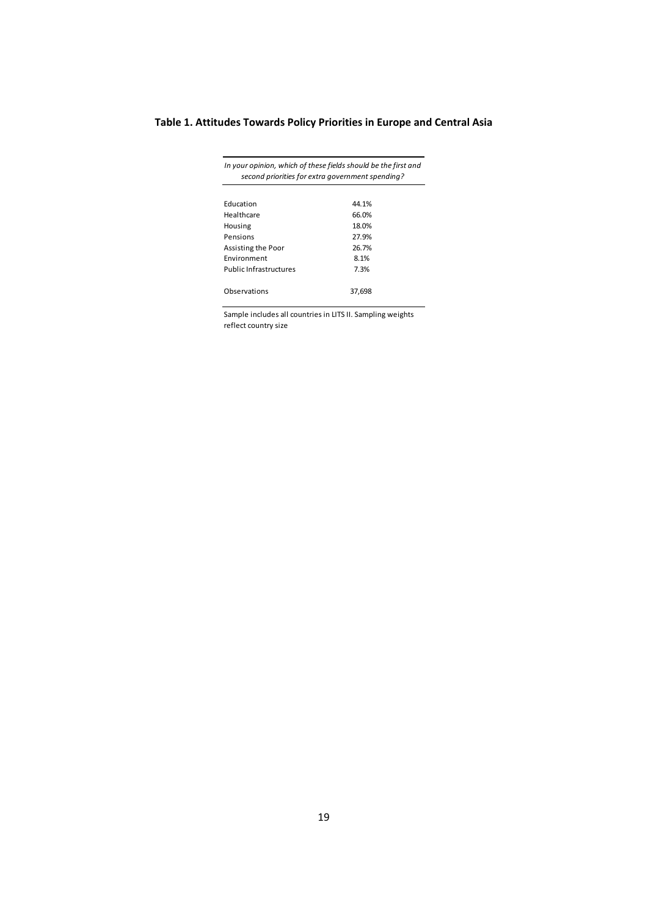# **Table 1. Attitudes Towards Policy Priorities in Europe and Central Asia**

|                               | In your opinion, which of these fields should be the first and<br>second priorities for extra government spending? |
|-------------------------------|--------------------------------------------------------------------------------------------------------------------|
|                               |                                                                                                                    |
| <b>Education</b>              | 44.1%                                                                                                              |
| Healthcare                    | 66.0%                                                                                                              |
| Housing                       | 18.0%                                                                                                              |
| Pensions                      | 27.9%                                                                                                              |
| Assisting the Poor            | 26.7%                                                                                                              |
| Environment                   | 8.1%                                                                                                               |
| <b>Public Infrastructures</b> | 7.3%                                                                                                               |
|                               |                                                                                                                    |
| Observations                  | 37.698                                                                                                             |

Sample includes all countries in LITS II. Sampling weights reflect country size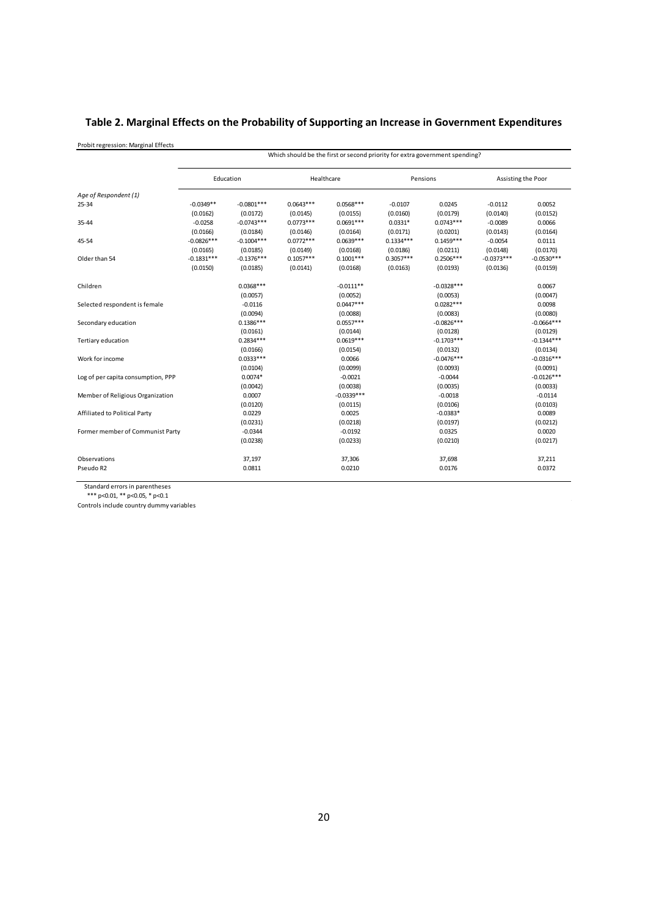# **Table 2. Marginal Effects on the Probability of Supporting an Increase in Government Expenditures**

Probit regression: Marginal Effects

|                                    |              |              |             |              |             | Which should be the first or second priority for extra government spending? |              |                    |
|------------------------------------|--------------|--------------|-------------|--------------|-------------|-----------------------------------------------------------------------------|--------------|--------------------|
|                                    | Education    |              | Healthcare  |              |             | Pensions                                                                    |              | Assisting the Poor |
| Age of Respondent (1)              |              |              |             |              |             |                                                                             |              |                    |
| 25-34                              | $-0.0349**$  | $-0.0801***$ | $0.0643***$ | $0.0568***$  | $-0.0107$   | 0.0245                                                                      | $-0.0112$    | 0.0052             |
|                                    | (0.0162)     | (0.0172)     | (0.0145)    | (0.0155)     | (0.0160)    | (0.0179)                                                                    | (0.0140)     | (0.0152)           |
| 35-44                              | $-0.0258$    | $-0.0743***$ | $0.0773***$ | $0.0691***$  | $0.0331*$   | $0.0743***$                                                                 | $-0.0089$    | 0.0066             |
|                                    | (0.0166)     | (0.0184)     | (0.0146)    | (0.0164)     | (0.0171)    | (0.0201)                                                                    | (0.0143)     | (0.0164)           |
| 45-54                              | $-0.0826***$ | $-0.1004***$ | $0.0772***$ | $0.0639***$  | $0.1334***$ | $0.1459***$                                                                 | $-0.0054$    | 0.0111             |
|                                    | (0.0165)     | (0.0185)     | (0.0149)    | (0.0168)     | (0.0186)    | (0.0211)                                                                    | (0.0148)     | (0.0170)           |
| Older than 54                      | $-0.1831***$ | $-0.1376***$ | $0.1057***$ | $0.1001***$  | $0.3057***$ | $0.2506***$                                                                 | $-0.0373***$ | $-0.0530***$       |
|                                    | (0.0150)     | (0.0185)     | (0.0141)    | (0.0168)     | (0.0163)    | (0.0193)                                                                    | (0.0136)     | (0.0159)           |
| Children                           |              | $0.0368***$  |             | $-0.0111**$  |             | $-0.0328***$                                                                |              | 0.0067             |
|                                    |              | (0.0057)     |             | (0.0052)     |             | (0.0053)                                                                    |              | (0.0047)           |
| Selected respondent is female      |              | $-0.0116$    |             | $0.0447***$  |             | $0.0282***$                                                                 |              | 0.0098             |
|                                    |              | (0.0094)     |             | (0.0088)     |             | (0.0083)                                                                    |              | (0.0080)           |
| Secondary education                |              | $0.1386***$  |             | $0.0557***$  |             | $-0.0826***$                                                                |              | $-0.0664***$       |
|                                    |              | (0.0161)     |             | (0.0144)     |             | (0.0128)                                                                    |              | (0.0129)           |
| Tertiary education                 |              | $0.2834***$  |             | $0.0619***$  |             | $-0.1703***$                                                                |              | $-0.1344***$       |
|                                    |              | (0.0166)     |             | (0.0154)     |             | (0.0132)                                                                    |              | (0.0134)           |
| Work for income                    |              | $0.0333***$  |             | 0.0066       |             | $-0.0476***$                                                                |              | $-0.0316***$       |
|                                    |              | (0.0104)     |             | (0.0099)     |             | (0.0093)                                                                    |              | (0.0091)           |
| Log of per capita consumption, PPP |              | $0.0074*$    |             | $-0.0021$    |             | $-0.0044$                                                                   |              | $-0.0126***$       |
|                                    |              | (0.0042)     |             | (0.0038)     |             | (0.0035)                                                                    |              | (0.0033)           |
| Member of Religious Organization   |              | 0.0007       |             | $-0.0339***$ |             | $-0.0018$                                                                   |              | $-0.0114$          |
|                                    |              | (0.0120)     |             | (0.0115)     |             | (0.0106)                                                                    |              | (0.0103)           |
| Affiliated to Political Party      |              | 0.0229       |             | 0.0025       |             | $-0.0383*$                                                                  |              | 0.0089             |
|                                    |              | (0.0231)     |             | (0.0218)     |             | (0.0197)                                                                    |              | (0.0212)           |
| Former member of Communist Party   |              | $-0.0344$    |             | $-0.0192$    |             | 0.0325                                                                      |              | 0.0020             |
|                                    |              | (0.0238)     |             | (0.0233)     |             | (0.0210)                                                                    |              | (0.0217)           |
| Observations                       |              | 37,197       |             | 37,306       |             | 37,698                                                                      |              | 37,211             |
| Pseudo R2                          |              | 0.0811       |             | 0.0210       |             | 0.0176                                                                      |              | 0.0372             |

 $\frac{1}{2}$ 

Standard errors in parentheses

\*\*\* p<0.01, \*\* p<0.05, \* p<0.1

Controls include country dummy variables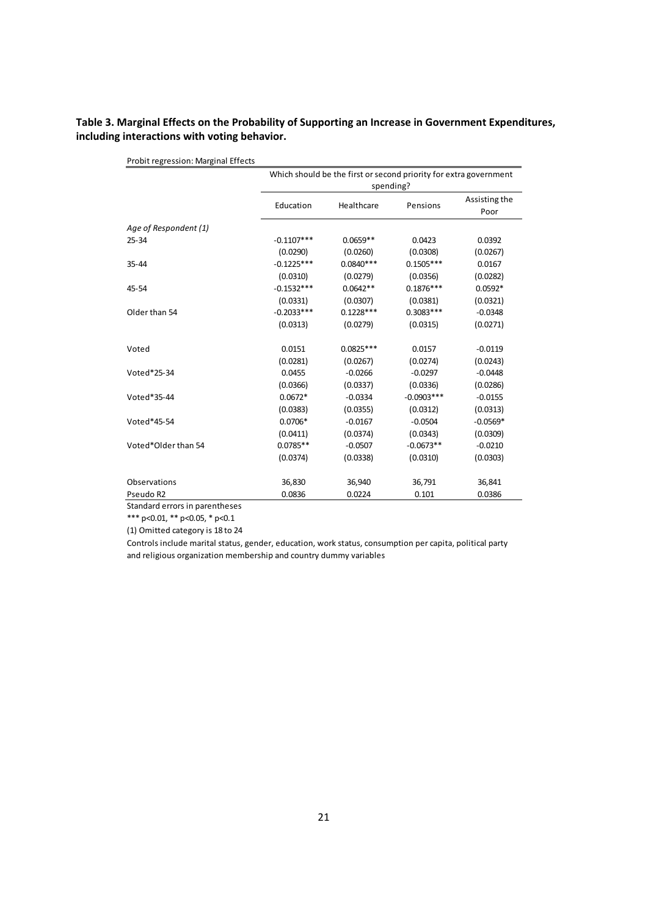### **Table 3. Marginal Effects on the Probability of Supporting an Increase in Government Expenditures, including interactions with voting behavior.**

| Probit regression: Marginal Effects |              |                                                                   |               |                       |
|-------------------------------------|--------------|-------------------------------------------------------------------|---------------|-----------------------|
|                                     |              | Which should be the first or second priority for extra government |               |                       |
|                                     |              | spending?                                                         |               |                       |
|                                     | Education    | Healthcare                                                        | Pensions      | Assisting the<br>Poor |
| Age of Respondent (1)               |              |                                                                   |               |                       |
| $25 - 34$                           | $-0.1107***$ | $0.0659**$                                                        | 0.0423        | 0.0392                |
|                                     | (0.0290)     | (0.0260)                                                          | (0.0308)      | (0.0267)              |
| $35 - 44$                           | $-0.1225***$ | $0.0840***$                                                       | $0.1505***$   | 0.0167                |
|                                     | (0.0310)     | (0.0279)                                                          | (0.0356)      | (0.0282)              |
| 45-54                               | $-0.1532***$ | $0.0642**$                                                        | $0.1876***$   | $0.0592*$             |
|                                     | (0.0331)     | (0.0307)                                                          | (0.0381)      | (0.0321)              |
| Older than 54                       | $-0.2033***$ | $0.1228***$                                                       | $0.3083***$   | $-0.0348$             |
|                                     | (0.0313)     | (0.0279)                                                          | (0.0315)      | (0.0271)              |
| Voted                               | 0.0151       | $0.0825***$                                                       | 0.0157        | $-0.0119$             |
|                                     | (0.0281)     | (0.0267)                                                          | (0.0274)      | (0.0243)              |
| Voted*25-34                         | 0.0455       | $-0.0266$                                                         | $-0.0297$     | $-0.0448$             |
|                                     | (0.0366)     | (0.0337)                                                          | (0.0336)      | (0.0286)              |
| Voted*35-44                         | $0.0672*$    | $-0.0334$                                                         | $-0.0903$ *** | $-0.0155$             |
|                                     | (0.0383)     | (0.0355)                                                          | (0.0312)      | (0.0313)              |
| Voted*45-54                         | $0.0706*$    | $-0.0167$                                                         | $-0.0504$     | $-0.0569*$            |
|                                     | (0.0411)     | (0.0374)                                                          | (0.0343)      | (0.0309)              |
| Voted*Older than 54                 | $0.0785**$   | $-0.0507$                                                         | $-0.0673**$   | $-0.0210$             |
|                                     | (0.0374)     | (0.0338)                                                          | (0.0310)      | (0.0303)              |
| Observations                        | 36,830       | 36,940                                                            | 36,791        | 36,841                |
| Pseudo R2                           | 0.0836       | 0.0224                                                            | 0.101         | 0.0386                |

Standard errors in parentheses

\*\*\* p<0.01, \*\* p<0.05, \* p<0.1

(1) Omitted category is 18 to 24

Controls include marital status, gender, education, work status, consumption per capita, political party and religious organization membership and country dummy variables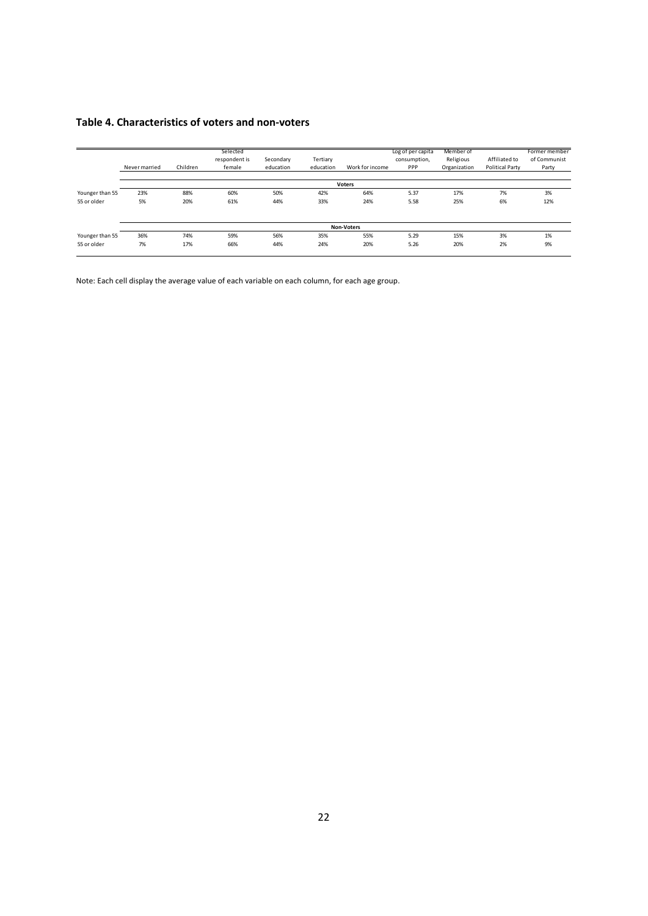### **Table 4. Characteristics of voters and non‐voters**

|                 | Never married | Children | Selected<br>respondent is<br>female | Secondary<br>education | Tertiary<br>education | Work for income   | Log of per capita<br>consumption,<br>PPP | Member of<br>Religious<br>Organization | Affiliated to<br><b>Political Party</b> | Former member<br>of Communist<br>Party |
|-----------------|---------------|----------|-------------------------------------|------------------------|-----------------------|-------------------|------------------------------------------|----------------------------------------|-----------------------------------------|----------------------------------------|
|                 |               |          |                                     |                        |                       | <b>Voters</b>     |                                          |                                        |                                         |                                        |
| Younger than 55 | 23%           | 88%      | 60%                                 | 50%                    | 42%                   | 64%               | 5.37                                     | 17%                                    | 7%                                      | 3%                                     |
| 55 or older     | 5%            | 20%      | 61%                                 | 44%                    | 33%                   | 24%               | 5.58                                     | 25%                                    | 6%                                      | 12%                                    |
|                 |               |          |                                     |                        |                       |                   |                                          |                                        |                                         |                                        |
|                 |               |          |                                     |                        |                       | <b>Non-Voters</b> |                                          |                                        |                                         |                                        |
| Younger than 55 | 36%           | 74%      | 59%                                 | 56%                    | 35%                   | 55%               | 5.29                                     | 15%                                    | 3%                                      | 1%                                     |
| 55 or older     | 7%            | 17%      | 66%                                 | 44%                    | 24%                   | 20%               | 5.26                                     | 20%                                    | 2%                                      | 9%                                     |
|                 |               |          |                                     |                        |                       |                   |                                          |                                        |                                         |                                        |

Note: Each cell display the average value of each variable on each column, for each age group.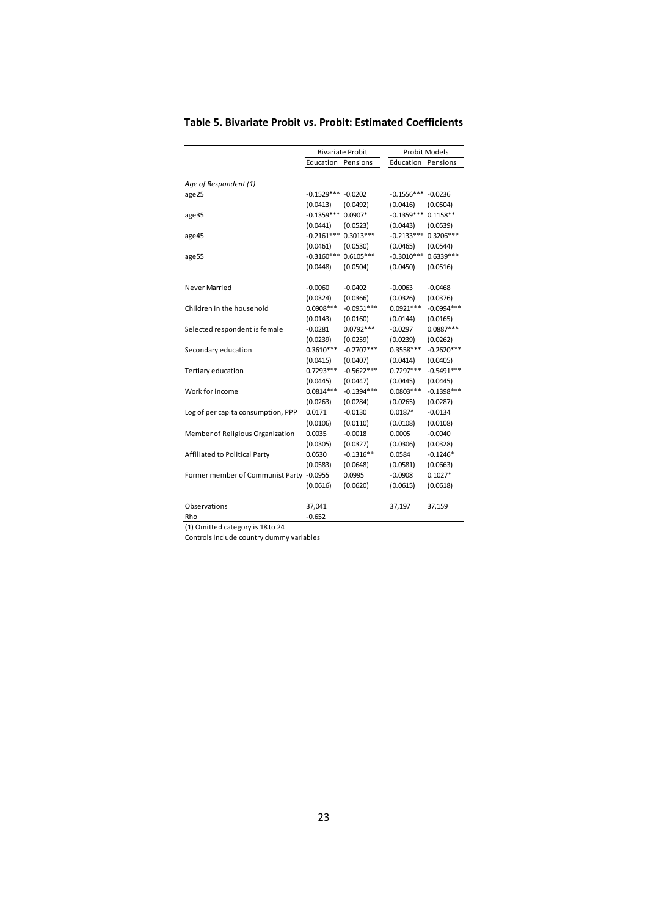|                                          |              | <b>Bivariate Probit</b> |              | <b>Probit Models</b> |
|------------------------------------------|--------------|-------------------------|--------------|----------------------|
|                                          | Education    | Pensions                | Education    | Pensions             |
|                                          |              |                         |              |                      |
| Age of Respondent (1)                    |              |                         |              |                      |
| age25                                    | $-0.1529***$ | $-0.0202$               | $-0.1556***$ | $-0.0236$            |
|                                          | (0.0413)     | (0.0492)                | (0.0416)     | (0.0504)             |
| age35                                    | $-0.1359***$ | $0.0907*$               | $-0.1359***$ | $0.1158**$           |
|                                          | (0.0441)     | (0.0523)                | (0.0443)     | (0.0539)             |
| age45                                    | $-0.2161***$ | $0.3013***$             | $-0.2133***$ | $0.3206***$          |
|                                          | (0.0461)     | (0.0530)                | (0.0465)     | (0.0544)             |
| age55                                    | $-0.3160***$ | $0.6105***$             | $-0.3010***$ | $0.6339***$          |
|                                          | (0.0448)     | (0.0504)                | (0.0450)     | (0.0516)             |
| Never Married                            | $-0.0060$    | $-0.0402$               | $-0.0063$    | $-0.0468$            |
|                                          | (0.0324)     | (0.0366)                | (0.0326)     | (0.0376)             |
| Children in the household                | $0.0908***$  | $-0.0951***$            | $0.0921***$  | $-0.0994***$         |
|                                          | (0.0143)     | (0.0160)                | (0.0144)     | (0.0165)             |
| Selected respondent is female            | $-0.0281$    | $0.0792***$             | $-0.0297$    | $0.0887***$          |
|                                          | (0.0239)     | (0.0259)                | (0.0239)     | (0.0262)             |
| Secondary education                      | $0.3610***$  | $-0.2707***$            | $0.3558***$  | $-0.2620***$         |
|                                          | (0.0415)     | (0.0407)                | (0.0414)     | (0.0405)             |
| Tertiary education                       | $0.7293***$  | $-0.5622***$            | $0.7297***$  | $-0.5491***$         |
|                                          | (0.0445)     | (0.0447)                | (0.0445)     | (0.0445)             |
| Work for income                          | $0.0814***$  | $-0.1394***$            | $0.0803***$  | $-0.1398***$         |
|                                          | (0.0263)     | (0.0284)                | (0.0265)     | (0.0287)             |
| Log of per capita consumption, PPP       | 0.0171       | $-0.0130$               | $0.0187*$    | $-0.0134$            |
|                                          | (0.0106)     | (0.0110)                | (0.0108)     | (0.0108)             |
| Member of Religious Organization         | 0.0035       | $-0.0018$               | 0.0005       | $-0.0040$            |
|                                          | (0.0305)     | (0.0327)                | (0.0306)     | (0.0328)             |
| Affiliated to Political Party            | 0.0530       | $-0.1316**$             | 0.0584       | $-0.1246*$           |
|                                          | (0.0583)     | (0.0648)                | (0.0581)     | (0.0663)             |
| Former member of Communist Party -0.0955 |              | 0.0995                  | $-0.0908$    | $0.1027*$            |
|                                          | (0.0616)     | (0.0620)                | (0.0615)     | (0.0618)             |
|                                          |              |                         |              |                      |
| Observations                             | 37,041       |                         | 37,197       | 37,159               |
| Rho                                      | $-0.652$     |                         |              |                      |

### **Table 5. Bivariate Probit vs. Probit: Estimated Coefficients**

(1) Omitted category is 18 to 24

Controls include country dummy variables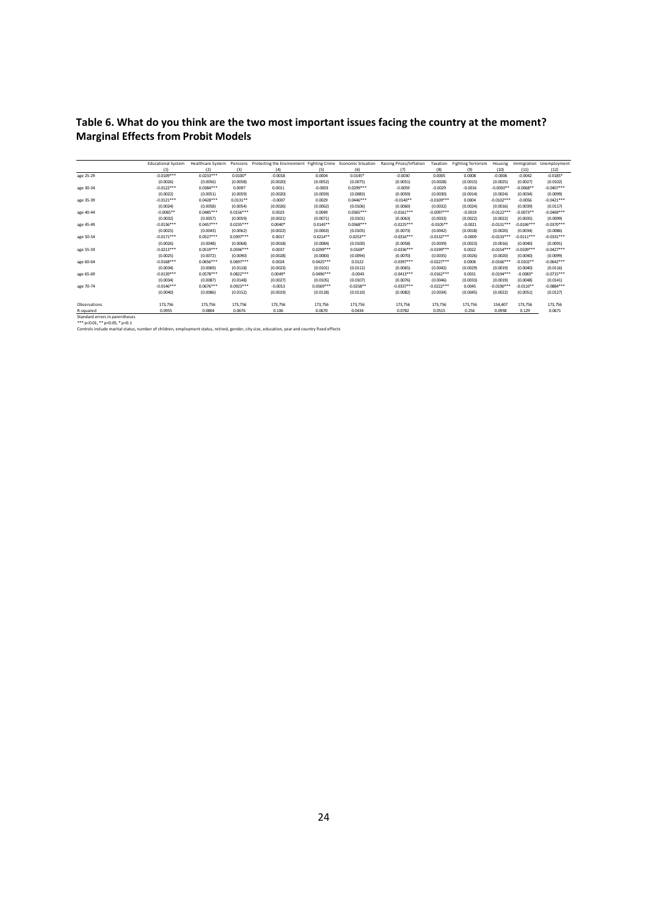# **Table 6. What do you think are the two most important issues facing the country at the moment? Marginal Effects from Probit Models**

|                                | <b>Educational System</b> | <b>Healthcare System</b> |             | Pensions Protecting the Environment Fighting Crime Economic Situation |             |             | Raising Prices/Inflation | Taxation     | <b>Fighting Terrorism</b> | Housing      | Immigration  | Unemployment           |
|--------------------------------|---------------------------|--------------------------|-------------|-----------------------------------------------------------------------|-------------|-------------|--------------------------|--------------|---------------------------|--------------|--------------|------------------------|
|                                | (1)                       | (2)                      | (3)         | (4)                                                                   | (5)         | (6)         | (7)                      | (8)          | (9)                       | (10)         | (11)         | (12)                   |
| age 25-29                      | $-0.0109***$              | $0.0233***$              | $0.0100*$   | $-0.0018$                                                             | 0.0004      | $0.0145*$   | $-0.0030$                | 0.0005       | 0.0008                    | $-0.0006$    | $-0.0042$    | $-0.0185$ <sup>*</sup> |
|                                | (0.0026)                  | (0.0056)                 | (0.0058)    | (0.0020)                                                              | (0.0052)    | (0.0075)    | (0.0051)                 | (0.0028)     | (0.0015)                  | (0.0025)     | (0.0027)     | (0.0102)               |
| age 30-34                      | $-0.0122***$              | $0.0384***$              | 0.0097      | 0.0011                                                                | $-0.0003$   | $0.0299***$ | $-0.0059$                | $-0.0029$    | $-0.0016$                 | $-0.0050**$  | $-0.0068**$  | $-0.0407***$           |
|                                | (0.0022)                  | (0.0051)                 | (0.0059)    | (0.0020)                                                              | (0.0059)    | (0.0083)    | (0.0059)                 | (0.0030)     | (0.0014)                  | (0.0024)     | (0.0034)     | (0.0099)               |
| age 35-39                      | $-0.0121***$              | $0.0428***$              | $0.0131**$  | $-0.0007$                                                             | 0.0029      | $0.0446***$ | $-0.0140**$              | $-0.0109***$ | 0.0004                    | $-0.0102***$ | $-0.0056$    | $-0.0421***$           |
|                                | (0.0024)                  | (0.0058)                 | (0.0054)    | (0.0026)                                                              | (0.0062)    | (0.0106)    | (0.0060)                 | (0.0032)     | (0.0024)                  | (0.0016)     | (0.0039)     | (0.0117)               |
| age 40-44                      | $-0.0065**$               | $0.0485***$              | $0.0156***$ | 0.0023                                                                | 0.0049      | $0.0365***$ | $-0.0161***$             | $-0.0097***$ | $-0.0019$                 | $-0.0122***$ | $-0.0073**$  | $-0.0469***$           |
|                                | (0.0032)                  | (0.0057)                 | (0.0059)    | (0.0021)                                                              | (0.0071)    | (0.0101)    | (0.0063)                 | (0.0033)     | (0.0022)                  | (0.0022)     | (0.0035)     | (0.0099)               |
| age 45-49                      | $-0.0136***$              | $0.0457***$              | $0.0235***$ | $0.0040*$                                                             | $0.0145**$  | $0.0368***$ | $-0.0225***$             | $-0.0105**$  | $-0.0021$                 | $-0.0131***$ | $-0.0106***$ | $-0.0370***$           |
|                                | (0.0025)                  | (0.0043)                 | (0.0062)    | (0.0022)                                                              | (0.0063)    | (0.0105)    | (0.0073)                 | (0.0042)     | (0.0018)                  | (0.0020)     | (0.0034)     | (0.0086)               |
| age 50-54                      | $-0.0171***$              | $0.0527***$              | $0.0397***$ | 0.0017                                                                | $0.0214**$  | $0.0253**$  | $-0.0316***$             | $-0.0132***$ | $-0.0009$                 | $-0.0133***$ | $-0.0111***$ | $-0.0331***$           |
|                                | (0.0026)                  | (0.0048)                 | (0.0068)    | (0.0018)                                                              | (0.0084)    | (0.0100)    | (0.0058)                 | (0.0039)     | (0.0023)                  | (0.0016)     | (0.0040)     | (0.0091)               |
| age 55-59                      | $-0.0213***$              | $0.0519***$              | $0.0596***$ | 0.0037                                                                | $0.0299***$ | $0.0169*$   | $-0.0336***$             | $-0.0199***$ | 0.0022                    | $-0.0154***$ | $-0.0109***$ | $-0.0427***$           |
|                                | (0.0025)                  | (0.0072)                 | (0.0090)    | (0.0028)                                                              | (0.0083)    | (0.0094)    | (0.0070)                 | (0.0035)     | (0.0026)                  | (0.0020)     | (0.0040)     | (0.0099)               |
| age 60-64                      | $-0.0168***$              | $0.0656***$              | $0.0697***$ | 0.0024                                                                | $0.0425***$ | 0.0122      | $-0.0397***$             | $-0.0227***$ | 0.0006                    | $-0.0166***$ | $-0.0102**$  | $-0.0642***$           |
|                                | (0.0034)                  | (0.0069)                 | (0.0118)    | (0.0023)                                                              | (0.0101)    | (0.0112)    | (0.0065)                 | (0.0042)     | (0.0029)                  | (0.0019)     | (0.0040)     | (0.0116)               |
| age 65-69                      | $-0.0139***$              | $0.0578***$              | $0.0822***$ | $0.0049*$                                                             | $0.0496***$ | $-0.0043$   | $-0.0413***$             | $-0.0162***$ | 0.0031                    | $-0.0194***$ | $-0.0083*$   | $-0.0715***$           |
|                                | (0.0034)                  | (0.0087)                 | (0.0148)    | (0.0027)                                                              | (0.0105)    | (0.0107)    | (0.0076)                 | (0.0046)     | (0.0033)                  | (0.0019)     | (0.0048)     | (0.0141)               |
| age 70-74                      | $-0.0146***$              | $0.0676***$              | $0.0923***$ | $-0.0013$                                                             | $0.0569***$ | $-0.0258**$ | $-0.0337***$             | $-0.0222***$ | 0.0045                    | $-0.0190***$ | $-0.0110**$  | $-0.0884***$           |
|                                | (0.0040)                  | (0.0086)                 | (0.0152)    | (0.0019)                                                              | (0.0118)    | (0.0110)    | (0.0082)                 | (0.0034)     | (0.0045)                  | (0.0022)     | (0.0051)     | (0.0127)               |
| Observations                   | 173.756                   | 173.756                  | 173,756     | 173,756                                                               | 173,756     | 173,756     | 173,756                  | 173,756      | 173,756                   | 154,407      | 173,756      | 173,756                |
| R-squared                      | 0.0955                    | 0.0804                   | 0.0676      | 0.106                                                                 | 0.0670      | 0.0434      | 0.0782                   | 0.0515       | 0.256                     | 0.0938       | 0.129        | 0.0671                 |
| Standard errors in narentheses |                           |                          |             |                                                                       |             |             |                          |              |                           |              |              |                        |

Standard errors in parentheses<br>\*\*\* p<0.01, \*\* p<0.05, \*p<0.1<br>Controls include marital status, number of children, employment status, retired, gender, city size, education, year and country fixed effects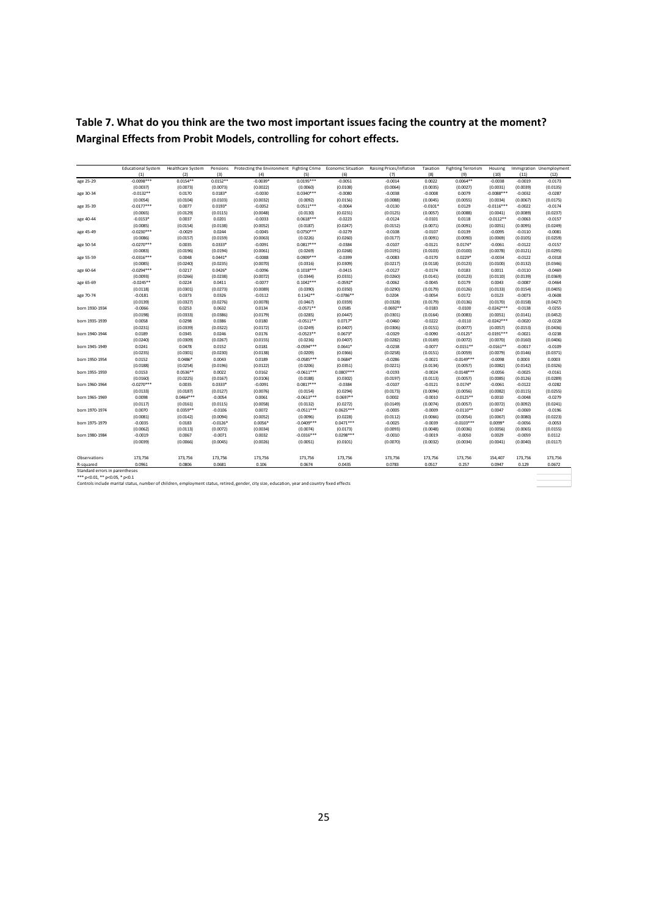**Table 7. What do you think are the two most important issues facing the country at the moment? Marginal Effects from Probit Models, controlling for cohort effects.**

|                                             | <b>Educational System</b> | <b>Healthcare System</b> |                    | Pensions Protecting the Environment Fighting Crime Economic Situation Raising Prices/Inflation                                                |                          |                       |                       | Taxation              | <b>Fighting Terrorism</b> | Housing                  |                       | Immigration Unemployment |
|---------------------------------------------|---------------------------|--------------------------|--------------------|-----------------------------------------------------------------------------------------------------------------------------------------------|--------------------------|-----------------------|-----------------------|-----------------------|---------------------------|--------------------------|-----------------------|--------------------------|
|                                             | (1)                       | (2)                      | (3)                | (4)                                                                                                                                           | (5)                      | (6)                   | (7)                   | (8)                   | (9)                       | (10)                     | (11)                  | (12)                     |
| age 25-29                                   | $-0.0098***$              | $0.0154**$               | $0.0152**$         | $-0.0039*$                                                                                                                                    | $0.0195***$              | $-0.0051$             | $-0.0014$             | 0.0022                | $0.0064**$                | $-0.0038$                | $-0.0019$             | $-0.0173$                |
|                                             | (0.0037)                  | (0.0073)                 | (0.0073)           | (0.0022)                                                                                                                                      | (0.0060)                 | (0.0108)              | (0.0064)              | (0.0035)              | (0.0027)                  | (0.0031)                 | (0.0039)              | (0.0135)                 |
| age 30-34                                   | $-0.0132**$               | 0.0170                   | $0.0183*$          | $-0.0030$                                                                                                                                     | $0.0340***$              | $-0.0080$             | $-0.0038$             | $-0.0008$             | 0.0079                    | $-0.0088***$             | $-0.0032$             | $-0.0287$                |
|                                             | (0.0054)                  | (0.0104)                 | (0.0103)           | (0.0032)                                                                                                                                      | (0.0092)                 | (0.0156)              | (0.0088)              | (0.0045)              | (0.0055)                  | (0.0034)                 | (0.0067)              | (0.0175)                 |
| age 35-39                                   | $-0.0177***$              | 0.0077                   | $0.0193*$          | $-0.0052$                                                                                                                                     | $0.0511***$              | $-0.0064$             | $-0.0130$             | $-0.0101*$            | 0.0129                    | $-0.0116***$             | $-0.0022$             | $-0.0174$                |
|                                             | (0.0065)                  | (0.0129)                 | (0.0115)           | (0.0048)                                                                                                                                      | (0.0130)                 | (0.0231)              | (0.0125)              | (0.0057)              | (0.0088)                  | (0.0041)                 | (0.0089)              | (0.0237)                 |
| age 40-44                                   | $-0.0153*$                | 0.0037                   | 0.0201             | $-0.0033$                                                                                                                                     | $0.0618***$              | $-0.0223$             | $-0.0124$             | $-0.0101$             | 0.0118                    | $-0.0112**$              | $-0.0063$             | $-0.0157$                |
|                                             | (0.0085)                  | (0.0154)                 | (0.0138)           | (0.0052)                                                                                                                                      | (0.0187)                 | (0.0247)              | (0.0152)              | (0.0071)              | (0.0091)                  | (0.0051)                 | (0.0095)              | (0.0249)                 |
| age 45-49                                   | $-0.0230***$              | $-0.0029$                | 0.0244             | $-0.0045$                                                                                                                                     | $0.0750***$              | $-0.0279$             | $-0.0108$             | $-0.0107$             | 0.0139                    | $-0.0095$                | $-0.0110$             | $-0.0081$                |
|                                             | (0.0086)                  | (0.0157)                 | (0.0159)           | (0.0063)                                                                                                                                      | (0.0226)                 | (0.0260)              | (0.0177)              | (0.0091)              | (0.0090)                  | (0.0069)                 | (0.0105)              | (0.0259)                 |
| age 50-54                                   | $-0.0270***$              | 0.0035                   | $0.0333*$          | $-0.0091$                                                                                                                                     | $0.0817***$              | $-0.0384$             | $-0.0107$             | $-0.0121$             | $0.0174*$                 | $-0.0061$                | $-0.0122$             | $-0.0157$                |
|                                             | (0.0083)                  | (0.0196)                 | (0.0194)           | (0.0061)                                                                                                                                      | (0.0269)                 | (0.0268)              | (0.0191)              | (0.0103)              | (0.0100)                  | (0.0078)                 | (0.0121)              | (0.0295)                 |
| age 55-59                                   | $-0.0316***$              | 0.0048                   | $0.0441*$          | $-0.0088$                                                                                                                                     | $0.0909***$              | $-0.0399$             | $-0.0083$             | $-0.0170$             | $0.0229*$                 | $-0.0034$                | $-0.0122$             | $-0.0318$                |
|                                             | (0.0085)                  | (0.0240)                 | (0.0235)           | (0.0070)                                                                                                                                      | (0.0316)                 | (0.0309)              | (0.0217)              | (0.0118)              | (0.0123)                  | (0.0100)                 | (0.0132)              | (0.0346)                 |
| age 60-64                                   | $-0.0294***$              | 0.0217                   | $0.0426*$          | $-0.0096$                                                                                                                                     | $0.1018***$              | $-0.0415$             | $-0.0127$             | $-0.0174$             | 0.0183                    | 0.0011                   | $-0.0110$             | $-0.0469$                |
|                                             | (0.0093)                  | (0.0266)                 | (0.0238)           | (0.0072)                                                                                                                                      | (0.0344)                 | (0.0331)              | (0.0260)              | (0.0141)              | (0.0123)                  | (0.0110)                 | (0.0139)              | (0.0369)                 |
| age 65-69                                   | $-0.0245**$               | 0.0224                   | 0.0411             | $-0.0077$                                                                                                                                     | $0.1042***$              | $-0.0592*$            | $-0.0062$             | $-0.0045$             | 0.0179                    | 0.0043                   | $-0.0087$             | $-0.0464$                |
|                                             | (0.0118)                  | (0.0301)                 | (0.0273)           | (0.0089)                                                                                                                                      | (0.0390)                 | (0.0350)              | (0.0290)              | (0.0179)              | (0.0126)                  | (0.0133)                 | (0.0154)              | (0.0405)                 |
| age 70-74                                   | $-0.0181$                 | 0.0373                   | 0.0326             | $-0.0112$                                                                                                                                     | $0.1142**$               | $-0.0786**$           | 0.0204                | $-0.0054$             | 0.0172                    | 0.0123                   | $-0.0073$             | $-0.0608$                |
|                                             | (0.0139)                  | (0.0327)                 | (0.0276)           | (0.0078)                                                                                                                                      | (0.0467)                 | (0.0359)              | (0.0328)              | (0.0179)              | (0.0136)                  | (0.0170)                 | (0.0158)              | (0.0427)                 |
| born 1930-1934                              | $-0.0066$                 | 0.0253                   | 0.0632             | 0.0134                                                                                                                                        | $-0.0571**$              | 0.0585                | $-0.0692**$           | $-0.0183$             | $-0.0100$                 | $-0.0242***$             | $-0.0138$             | $-0.0255$                |
| born 1935-1939                              | (0.0198)<br>0.0058        | (0.0333)<br>0.0298       | (0.0386)<br>0.0386 | (0.0179)<br>0.0180                                                                                                                            | (0.0285)<br>$-0.0511**$  | (0.0447)<br>$0.0717*$ | (0.0301)<br>$-0.0460$ | (0.0164)<br>$-0.0222$ | (0.0083)<br>$-0.0110$     | (0.0051)<br>$-0.0242***$ | (0.0141)<br>$-0.0020$ | (0.0452)<br>$-0.0228$    |
|                                             | (0.0231)                  | (0.0339)                 | (0.0322)           | (0.0172)                                                                                                                                      | (0.0249)                 | (0.0407)              | (0.0306)              | (0.0151)              | (0.0077)                  | (0.0057)                 | (0.0153)              | (0.0436)                 |
|                                             |                           |                          |                    |                                                                                                                                               |                          |                       |                       |                       |                           |                          |                       |                          |
| born 1940-1944                              | 0.0189                    | 0.0345                   | 0.0246             | 0.0176                                                                                                                                        | $-0.0523**$              | $0.0673*$             | $-0.0329$             | $-0.0090$             | $-0.0125*$                | $-0.0191***$             | $-0.0021$             | $-0.0238$                |
| born 1945-1949                              | (0.0240)<br>0.0241        | (0.0309)<br>0.0478       | (0.0267)<br>0.0152 | (0.0155)<br>0.0181                                                                                                                            | (0.0236)<br>$-0.0594***$ | (0.0407)<br>$0.0641*$ | (0.0282)<br>$-0.0238$ | (0.0169)<br>$-0.0077$ | (0.0072)<br>$-0.0151**$   | (0.0070)<br>$-0.0161**$  | (0.0160)<br>$-0.0017$ | (0.0406)<br>$-0.0109$    |
|                                             | (0.0235)                  | (0.0301)                 | (0.0230)           | (0.0138)                                                                                                                                      | (0.0209)                 | (0.0366)              | (0.0258)              | (0.0151)              | (0.0059)                  | (0.0079)                 | (0.0146)              | (0.0371)                 |
| born 1950-1954                              | 0.0152                    | $0.0486*$                | 0.0043             | 0.0189                                                                                                                                        | $-0.0585***$             | $0.0684*$             | $-0.0286$             | $-0.0021$             | $-0.0149***$              | $-0.0098$                | 0.0003                | 0.0003                   |
|                                             | (0.0188)                  | (0.0254)                 | (0.0196)           | (0.0122)                                                                                                                                      | (0.0206)                 | (0.0351)              | (0.0221)              | (0.0134)              | (0.0057)                  | (0.0082)                 | (0.0142)              | (0.0326)                 |
| born 1955-1959                              | 0.0153                    | $0.0536**$               | 0.0022             | 0.0162                                                                                                                                        | $-0.0611***$             | $0.0807***$           | $-0.0193$             | $-0.0024$             | $-0.0148***$              | $-0.0056$                | $-0.0025$             | $-0.0161$                |
|                                             | (0.0160)                  | (0.0225)                 | (0.0167)           | (0.0106)                                                                                                                                      | (0.0188)                 | (0.0302)              | (0.0197)              | (0.0113)              | (0.0057)                  | (0.0085)                 | (0.0126)              | (0.0289)                 |
| born 1960-1964                              | $-0.0270***$              | 0.0035                   | $0.0333*$          | $-0.0091$                                                                                                                                     | $0.0817***$              | $-0.0384$             | $-0.0107$             | $-0.0121$             | $0.0174*$                 | $-0.0061$                | $-0.0122$             | $-0.0282$                |
|                                             | (0.0133)                  | (0.0187)                 | (0.0127)           | (0.0076)                                                                                                                                      | (0.0154)                 | (0.0294)              | (0.0173)              | (0.0094)              | (0.0056)                  | (0.0082)                 | (0.0115)              | (0.0255)                 |
| born 1965-1969                              | 0.0098                    | $0.0464***$              | $-0.0054$          | 0.0061                                                                                                                                        | $-0.0613***$             | $0.0697**$            | 0.0002                | $-0.0010$             | $-0.0125**$               | 0.0010                   | $-0.0048$             | $-0.0279$                |
|                                             | (0.0117)                  | (0.0161)                 | (0.0115)           | (0.0058)                                                                                                                                      | (0.0132)                 | (0.0272)              | (0.0149)              | (0.0074)              | (0.0057)                  | (0.0072)                 | (0.0092)              | (0.0241)                 |
| born 1970-1974                              | 0.0070                    | $0.0359**$               | $-0.0106$          | 0.0072                                                                                                                                        | $-0.0511***$             | $0.0625***$           | $-0.0005$             | $-0.0009$             | $-0.0110**$               | 0.0047                   | $-0.0069$             | $-0.0196$                |
|                                             | (0.0081)                  | (0.0142)                 | (0.0094)           | (0.0052)                                                                                                                                      | (0.0096)                 | (0.0228)              | (0.0112)              | (0.0066)              | (0.0054)                  | (0.0067)                 | (0.0080)              | (0.0223)                 |
| born 1975-1979                              | $-0.0035$                 | 0.0183                   | $-0.0126*$         | $0.0056*$                                                                                                                                     | $-0.0409***$             | $0.0471***$           | $-0.0025$             | $-0.0039$             | $-0.0103***$              | $0.0099*$                | $-0.0056$             | $-0.0053$                |
|                                             | (0.0062)                  | (0.0113)                 | (0.0072)           | (0.0034)                                                                                                                                      | (0.0074)                 | (0.0173)              | (0.0093)              | (0.0048)              | (0.0036)                  | (0.0056)                 | (0.0065)              | (0.0155)                 |
| born 1980-1984                              | $-0.0019$                 | 0.0067                   | $-0.0071$          | 0.0032                                                                                                                                        | $-0.0316***$             | $0.0298***$           | $-0.0010$             | $-0.0019$             | $-0.0050$                 | 0.0029                   | $-0.0059$             | 0.0112                   |
|                                             | (0.0039)                  | (0.0066)                 | (0.0045)           | (0.0026)                                                                                                                                      | (0.0051)                 | (0.0101)              | (0.0070)              | (0.0032)              | (0.0034)                  | (0.0041)                 | (0.0040)              | (0.0117)                 |
|                                             |                           |                          |                    |                                                                                                                                               |                          |                       |                       |                       |                           |                          |                       |                          |
|                                             |                           |                          |                    |                                                                                                                                               |                          |                       |                       |                       |                           |                          |                       |                          |
| Observations                                | 173,756                   | 173,756                  | 173,756            | 173,756                                                                                                                                       | 173,756                  | 173,756               | 173,756               | 173,756               | 173,756                   | 154,407                  | 173,756               | 173,756                  |
| R-squared<br>Standard errors in parentheses | 0.0961                    | 0.0806                   | 0.0681             | 0.106                                                                                                                                         | 0.0674                   | 0.0435                | 0.0783                | 0.0517                | 0.257                     | 0.0947                   | 0.129                 | 0.0672                   |
| *** p<0.01, ** p<0.05, * p<0.1              |                           |                          |                    |                                                                                                                                               |                          |                       |                       |                       |                           |                          |                       |                          |
|                                             |                           |                          |                    | Controls include marital status, number of children, employment status, retired, gender, city size, education, year and country fixed effects |                          |                       |                       |                       |                           |                          |                       |                          |
|                                             |                           |                          |                    |                                                                                                                                               |                          |                       |                       |                       |                           |                          |                       |                          |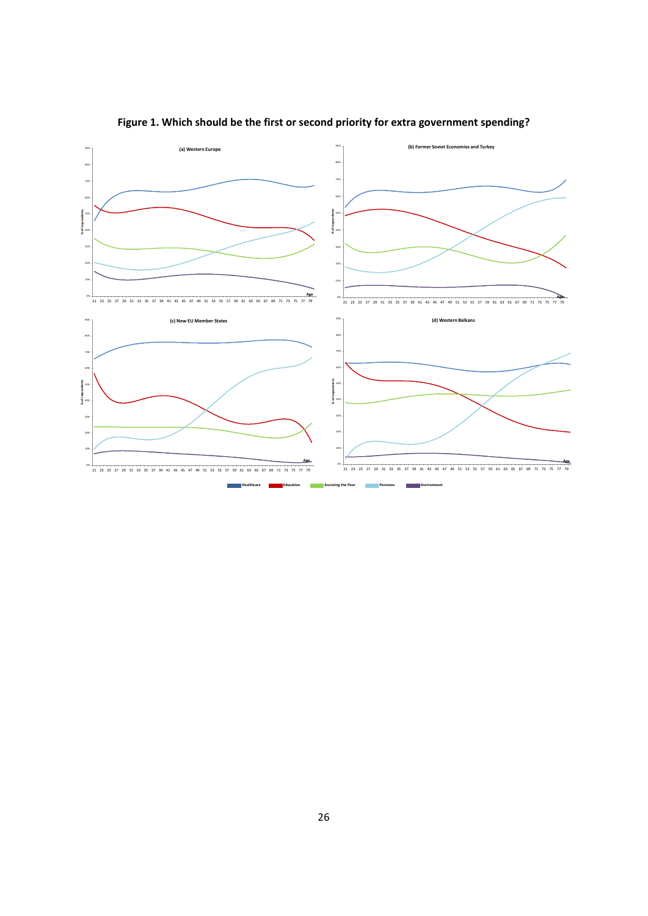

# **Figure 1. Which should be the first or second priority for extra government spending?**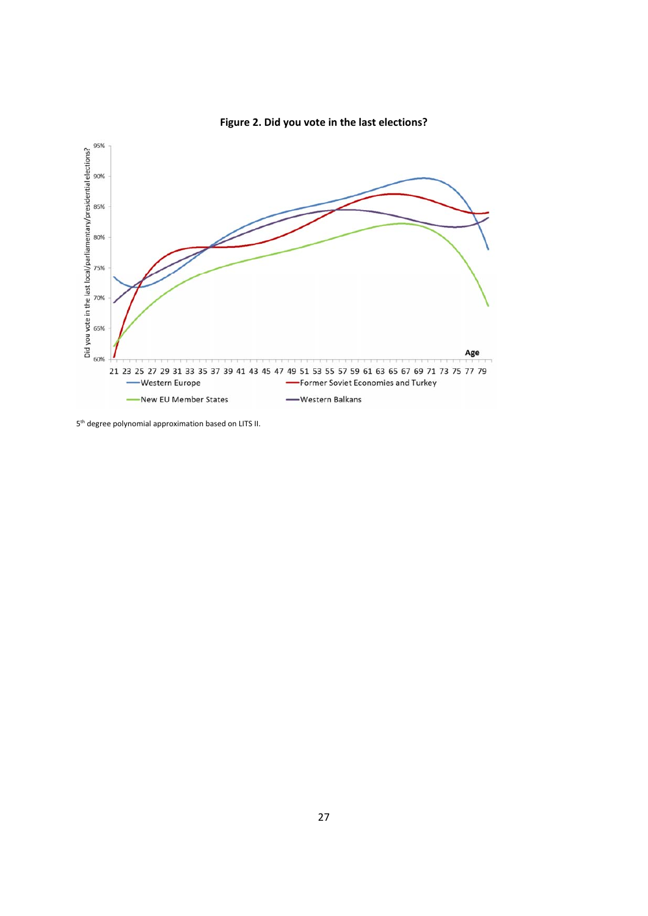

**Figure 2. Did you vote in the last elections?**

5th degree polynomial approximation based on LITS II.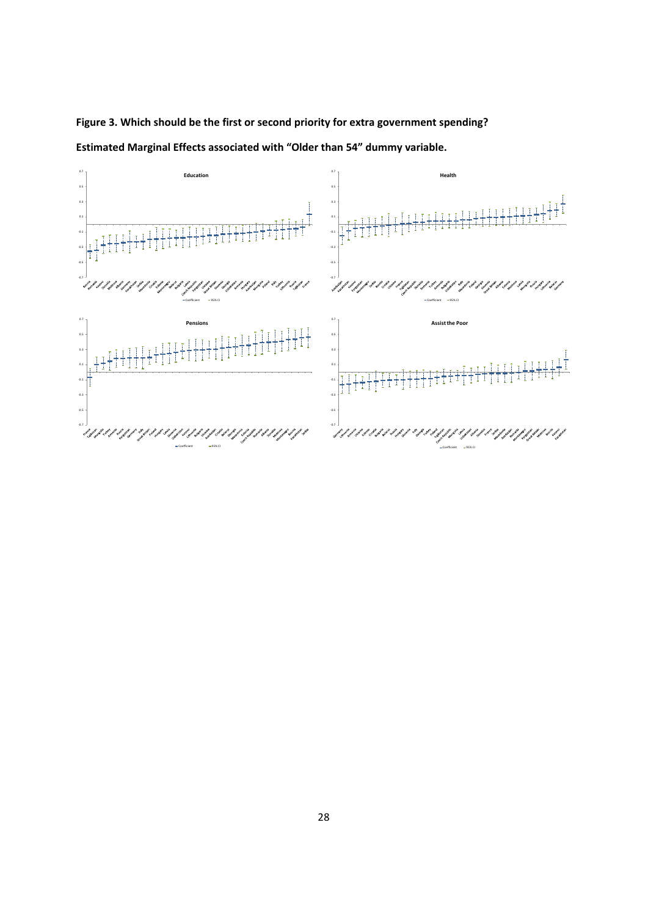

**Figure 3. Which should be the first or second priority for extra government spending?** 

**Estimated Marginal Effects associated with "Older than 54" dummy variable.**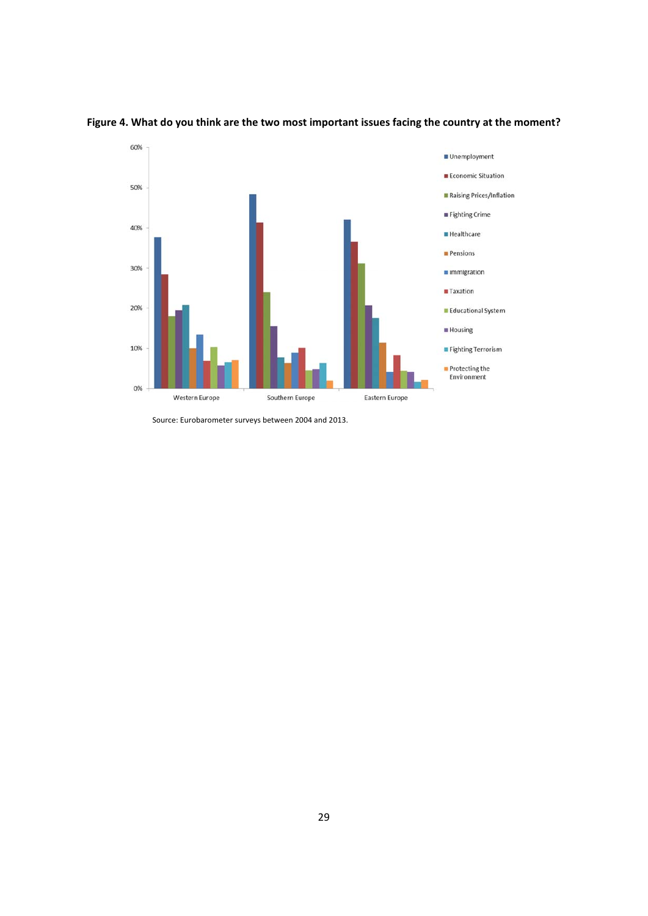

### **Figure 4. What do you think are the two most important issues facing the country at the moment?**

Source: Eurobarometer surveys between 2004 and 2013.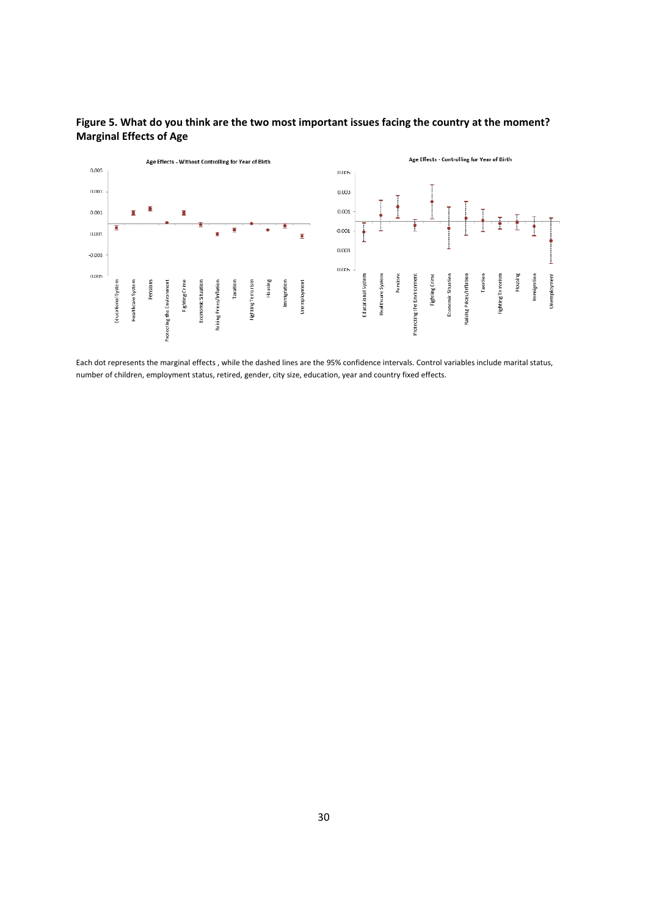

### **Figure 5. What do you think are the two most important issues facing the country at the moment? Marginal Effects of Age**

Each dot represents the marginal effects , while the dashed lines are the 95% confidence intervals. Control variables include marital status, number of children, employment status, retired, gender, city size, education, year and country fixed effects.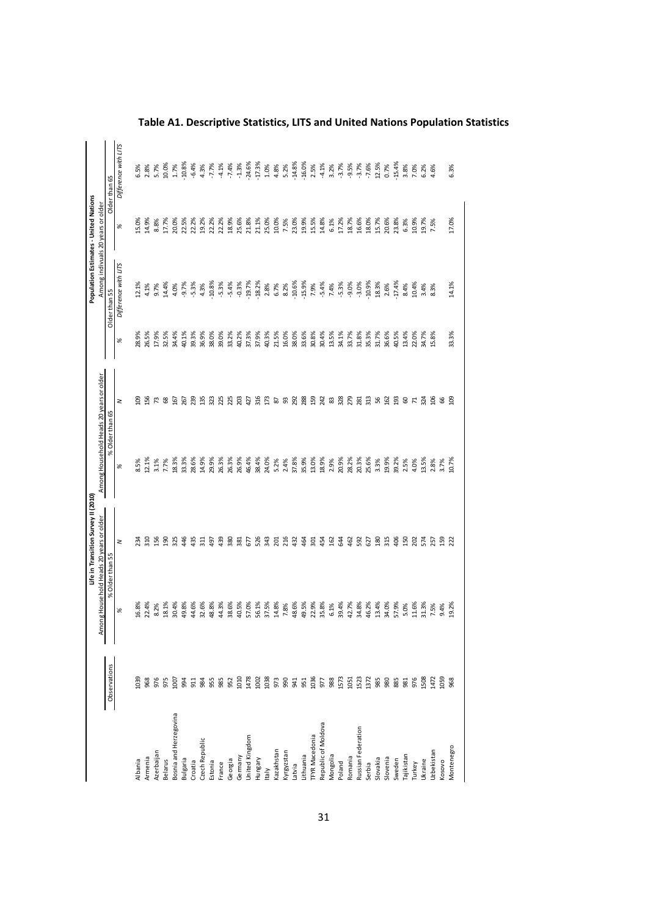|                        |               | Among Household Heads 20 years or older | Life in Transition Survey II (2010) | Among Household Heads 20 years or older |                |       | Population Estimates - United Nations<br>Among indivuals 20 years or older |       |                      |
|------------------------|---------------|-----------------------------------------|-------------------------------------|-----------------------------------------|----------------|-------|----------------------------------------------------------------------------|-------|----------------------|
|                        | Observations  | % Older than 55                         |                                     | % Older than 65                         |                |       | Older than 55                                                              |       | Older than 65        |
|                        |               | %                                       | 2                                   | %                                       | z              | %     | Difference with LITS                                                       | %     | Difference with LITS |
| Albania                | 1039          | 16.8%                                   | ਨ਼ੁ                                 | 8.5%                                    | පු             | 28.9% | 12.1%                                                                      | 15.0% | 6.5%                 |
| Armenia                | 968           | 22.4%                                   | 310                                 | 12.1%                                   | 56             | 26.5% | 4.1%                                                                       | 14.9% | 2.8%                 |
| Azerbaijan             | 975           | 8.2%                                    | 156                                 | 3.1%                                    | 73             | 17.9% | 9.7%                                                                       | 8.8%  | 5.7%                 |
| Belarus                |               | 18.1%                                   | <u>යි</u>                           | 7.7%                                    | 89             | 32.5% | 14.4%                                                                      | 17.7% | 10.0%                |
| Bosnia and Herzegovina | 1007          | 30.4%                                   | 325                                 | 18.3%                                   | 167            | 34.4% | 4.0%                                                                       | 20.0% | 1.7%                 |
| Bulgaria               | 994           | 49.8%                                   | 46                                  | 33.3%                                   | 267            | 40.1% | $-9.7%$                                                                    | 22.5% | .10.8%               |
| Croatia                | 3 2 3 3 3 3 3 | 44.6%                                   | 435                                 | 28.6%                                   | 239            | 39.3% | $-5.3%$                                                                    | 22.2% | $-6.4%$              |
| Czech Republic         |               | 32.6%                                   | $\overline{31}$                     | 14.9%                                   | 135            | 36.9% | 4.3%                                                                       | 19.2% | 4.3%                 |
| Estonia                |               | 48.8%                                   | 497                                 | 29.9%                                   | 323            | 38.0% | $-10.8%$                                                                   | 22.2% | $-7.7%$              |
| France                 |               | 44.3%                                   | 439                                 | 26.3%                                   | 25             | 39.0% | $-5.3%$                                                                    | 22.2% | $-4.1%$              |
| Georgia                |               | 38.6%                                   | 380                                 | 26.3%                                   | 25             | 33.2% | $-5.4%$                                                                    | 18.9% | $-7.4%$              |
| Germany                | 1010<br>1478  | 40.5%                                   | 381                                 | 26.9%                                   | 203            | 40.2% | $-0.3%$                                                                    | 25.6% | $-1.3%$              |
| <b>Jnited Kingdom</b>  |               | 57.0%                                   | 67                                  | 46.4%                                   | 427            | 37.3% | $-19.7%$                                                                   | 21.8% | $-24.6%$             |
| Hungary                | 1002          | 56.1%                                   | 526                                 | 38.4%                                   | 316            | 37.9% | $-18.2%$                                                                   | 21.1% | $-17.3%$             |
| taly                   |               | 37.5%                                   | ЭÆ                                  | 24.0%                                   | 173            | 40.3% | 2.8%                                                                       | 25.0% | $1.0\%$              |
| Kazakhstan             |               | 14.8%                                   | g                                   | 5.2%                                    | <b>&amp;</b> 8 | 21.5% | 6.7%                                                                       | 10.0% | 4.8%                 |
| Kyrgyzstan             |               | 7.8%                                    | 216                                 | 2.4%                                    |                | 16.0% | 8.2%                                                                       | 7.5%  | 5.2%                 |
| Latvia                 |               | 48.6%                                   | 432                                 | 37.8%                                   | 292            | 38.0% | $-10.6%$                                                                   | 23.0% | $-14.8%$             |
| Lithuania              |               | 49.5%                                   | \$4                                 | 35.9%                                   | 288            | 33.6% | $-15.9%$                                                                   | 19.9% | $-16.0%$             |
| <b>TFYR Macedonia</b>  |               | 22.9%                                   | ន្ល                                 | 13.0%                                   | 59             | 30.8% | 7.9%                                                                       | 15.5% | 2.5%                 |
| Republic of Moldova    |               | 35.8%                                   | 454                                 | 18.9%                                   | 242            | 30.4% | $-5.4%$                                                                    | 14.8% | $-4.1%$              |
| Mongolia               |               | 6.1%                                    | 162                                 | 2.9%                                    | 83             | 13.5% | 7.4%                                                                       | 6.1%  | 3.2%                 |
| Poland                 | 1573          | 39.4%                                   | £                                   | 20.9%                                   | 328            | 34.1% | $-5.3%$                                                                    | 17.2% | $-3.7%$              |
| Romania                | 1051          | 42.7%                                   | 462                                 | 28.2%                                   | 279            | 33.7% | $-9.0%$                                                                    | 18.7% | $-9.5%$              |
| Russian Federation     | 1523          | 34.8%                                   | 592                                 | 20.3%                                   | 281            | 31.8% | $-3.0%$                                                                    | 16.6% | $-3.7%$              |
| Serbia                 | 1372          | 46.2%                                   | 627                                 | 25.6%                                   | 313            | 35.3% | $-10.9%$                                                                   | 18.0% | $-7.6%$              |
| Slovakia               | 985           | 13.4%                                   | 30                                  | 3.3%                                    | 56<br>162      | 31.7% | 18.3%                                                                      | 15.7% | 12.5%                |
| Slovenia               | 88<br>88      | 34.0%                                   | 315                                 | 19.9%                                   |                | 36.6% | 2.6%                                                                       | 20.6% | 0.7%                 |
| sweden                 |               | 57.9%                                   | $\frac{8}{2}$                       | 39.2%                                   | $\overline{9}$ | 40.5% | $-17.4%$                                                                   | 23.8% | $-15.4%$             |
| Tajikistar             | 981           | 5.0%                                    | 50                                  | 2.5%                                    | 60             | 13.4% | 8.4%                                                                       | 6.3%  | 3.8%                 |
| Turkey                 | 976           | 11.6%                                   | 202                                 | 4.0%                                    | $\mathbf{z}$   | 22.0% | 10.4%                                                                      | 10.9% | 7.0%                 |
| Ukraine                | 1508          | 31.3%                                   | 574                                 | 13.5%                                   | 324            | 34.7% | 3.4%                                                                       | 19.7% | 6.2%                 |
| Jzbekistan             | 1472          | 7.5%                                    | 257                                 | 2.8%                                    | $\frac{8}{2}$  | 15.8% | 8.3%                                                                       | 7.5%  | 4.6%                 |
| Kosovo                 | 1059          | 9.4%                                    | 59                                  | 3.7%                                    | 66             |       |                                                                            |       |                      |
| Montenegro             | 968           | 19.2%                                   | 22                                  | 10.7%                                   | g              | 33.3% | 14.1%                                                                      | 17.0% | 6.3%                 |
|                        |               |                                         |                                     |                                         |                |       |                                                                            |       |                      |

**Table A1. Descriptive Statistics, LITS and United Nations Population Statistics**